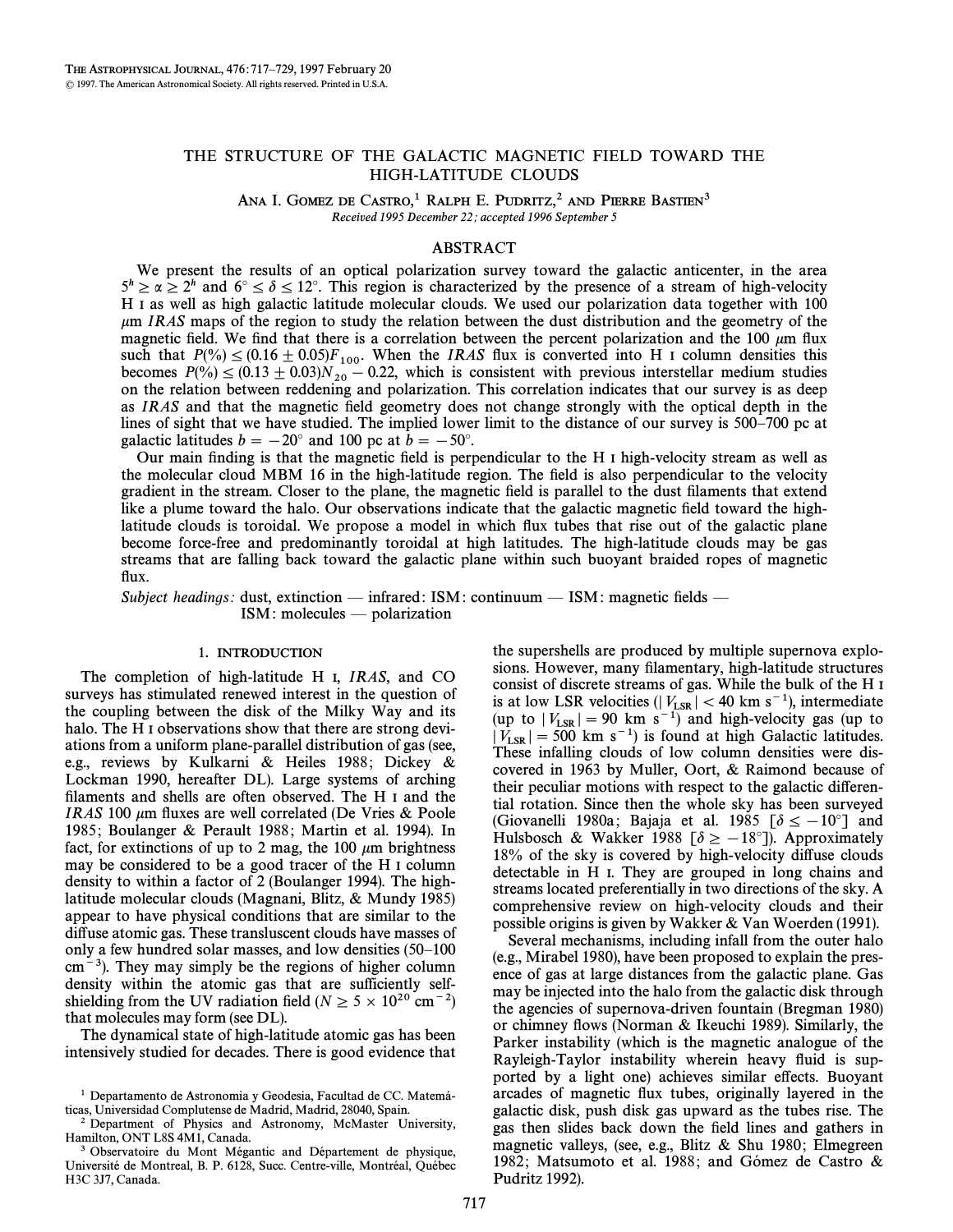# THE STRUCTURE OF THE GALACTIC MAGNETIC FIELD TOWARD THE HIGH-LATITUDE CLOUDS

ANA I. GOMEZ DE CASTRO,<sup>1</sup> RALPH E. PUDRITZ,<sup>2</sup> AND PIERRE BASTIEN<sup>3</sup> Received 1995 December 22; accepted 1996 September 5

## ABSTRACT

We present the results of an optical polarization survey toward the galactic anticenter, in the area  $5^h \ge \alpha \ge 2^h$  and  $6^\circ \le \delta \le 12^\circ$ . This region is characterized by the presence of a stream of high-velocity H I as well as high galactic latitude molecular clouds. We used our polarization data together with 100  $\mu$ m IRAS maps of the region to study the relation between the dust distribution and the geometry of the magnetic field. We find that there is a correlation between the percent polarization and the 100  $\mu$ m flux such that  $P(\%) \leq (0.16 \pm 0.05)F_{100}$ . When the *IRAS* flux is converted into H I column densities this hecomes  $P(\%) \leq (0.13 \pm 0.03)N$  = 0.22 which is consistent with previous interstellar medium studies becomes  $P(\% ) \le (0.13 \pm 0.03)N_{20} - 0.22$ , which is consistent with previous interstellar medium studies on the relation between reddening and polarization. This correlation indicates that our survey is as deep on the relation between reddening and polarization. This correlation indicates that our survey is as deep as IRAS and that the magnetic field geometry does not change strongly with the optical depth in the lines of sight that we have studied. The implied lower limit to the distance of our survey is 500–700 pc at galactic latitudes  $b = -20^\circ$  and 100 pc at  $b = -50^\circ$ .

Our main finding is that the magnetic field is perpendicular to the H I high-velocity stream as well as the molecular cloud MBM 16 in the high-latitude region. The field is also perpendicular to the velocity gradient in the stream. Closer to the plane, the magnetic field is parallel to the dust filaments that extend like a plume toward the halo. Our observations indicate that the galactic magnetic field toward the highlatitude clouds is toroidal. We propose a model in which flux tubes that rise out of the galactic plane become force-free and predominantly toroidal at high latitudes. The high-latitude clouds may be gas streams that are falling back toward the galactic plane within such buoyant braided ropes of magnetic flux.

Subject headings: dust, extinction — infrared: ISM: continuum — ISM: magnetic fields —  $ISM:$  molecules  $-$  polarization

# 1. INTRODUCTION

The completion of high-latitude H I, IRAS, and CO surveys has stimulated renewed interest in the question of the coupling between the disk of the Milky Way and its halo. The H<sub>I</sub> observations show that there are strong deviations from a uniform plane-parallel distribution of gas (see, e.g., reviews by Kulkarni & Heiles 1988; Dickey & Lockman 1990, hereafter DL). Large systems of arching filaments and shells are often observed. The H<sub>I</sub> and the IRAS 100  $\mu$ m fluxes are well correlated (De Vries & Poole 1985; Boulanger & Perault 1988; Martin et al. 1994). In fact, for extinctions of up to 2 mag, the 100  $\mu$ m brightness may be considered to be a good tracer of the H I column density to within a factor of 2 (Boulanger 1994). The highlatitude molecular clouds (Magnani, Blitz,  $&$  Mundy 1985) appear to have physical conditions that are similar to the diffuse atomic gas. These transluscent clouds have masses of only a few hundred solar masses, and low densities  $(50-100)$  $cm<sup>-3</sup>$ ). They may simply be the regions of higher column density within the atomic gas that are sufficiently selfshielding from the UV radiation field ( $N \ge 5 \times 10^{20}$  cm<sup>-2</sup>) that molecules may form (see DL).

The dynamical state of high-latitude atomic gas has been intensively studied for decades. There is good evidence that the supershells are produced by multiple supernova explosions. However, many filamentary, high-latitude structures consist of discrete streams of gas. While the bulk of the H I is at low LSR velocities ( $|V_{LSR}| < 40$  km s<sup>-1</sup>), intermediate  $\frac{(0.00 \text{ m/s})^2}{2}$  and high velocity ass (up to (up to  $|V_{LSR}| = 90 \text{ km s}^{-1}$ ) and high-velocity gas (up to  $|V_{LSR}| = 500 \text{ km s}^{-1}$ ) is found at high Galactic latitudes  $|V_{LSR}| = 500$  km s<sup>-1</sup>) is found at high Galactic latitudes.<br>These infalling clouds of low column densities were dis-These infalling clouds of low column densities were discovered in 1963 by Muller, Oort,  $&$  Raimond because of their peculiar motions with respect to the galactic differential rotation. Since then the whole sky has been surveyed (Giovanelli 1980a; Bajaja et al. 1985  $\delta \le -10^{\circ}$  and Hulsbosch & Wakker 1988  $[\delta \ge -18^{\circ}]$ ). Approximately 18% of the sky is covered by high-velocity diffuse clouds detectable in H I. They are grouped in long chains and streams located preferentially in two directions of the sky. A comprehensive review on high-velocity clouds and their possible origins is given by Wakker & Van Woerden (1991).

Several mechanisms, including infall from the outer halo (e.g., Mirabel 1980), have been proposed to explain the presence of gas at large distances from the galactic plane. Gas may be injected into the halo from the galactic disk through the agencies of supernova-driven fountain (Bregman 1980) or chimney flows (Norman  $\&$  Ikeuchi 1989). Similarly, the Parker instability (which is the magnetic analogue of the Rayleigh-Taylor instability wherein heavy fluid is supported by a light one) achieves similar effects. Buoyant arcades of magnetic Ñux tubes, originally layered in the galactic disk, push disk gas upward as the tubes rise. The gas then slides back down the field lines and gathers in magnetic valleys, (see, e.g., Blitz  $\&$  Shu 1980; Elmegreen 1982; Matsumoto et al. 1988; and Gómez de Castro  $\&$ Pudritz 1992).

<sup>&</sup>lt;sup>1</sup> Departamento de Astronomia y Geodesia, Facultad de CC. Matemáticas, Universidad Complutense de Madrid, Madrid, 28040, Spain.

<sup>2</sup> Department of Physics and Astronomy, McMaster University, Hamilton, ONT L8S 4M1, Canada.

<sup>&</sup>lt;sup>3</sup> Observatoire du Mont Mégantic and Département de physique, Université de Montreal, B. P. 6128, Succ. Centre-ville, Montréal, Québec H3C 3J7, Canada.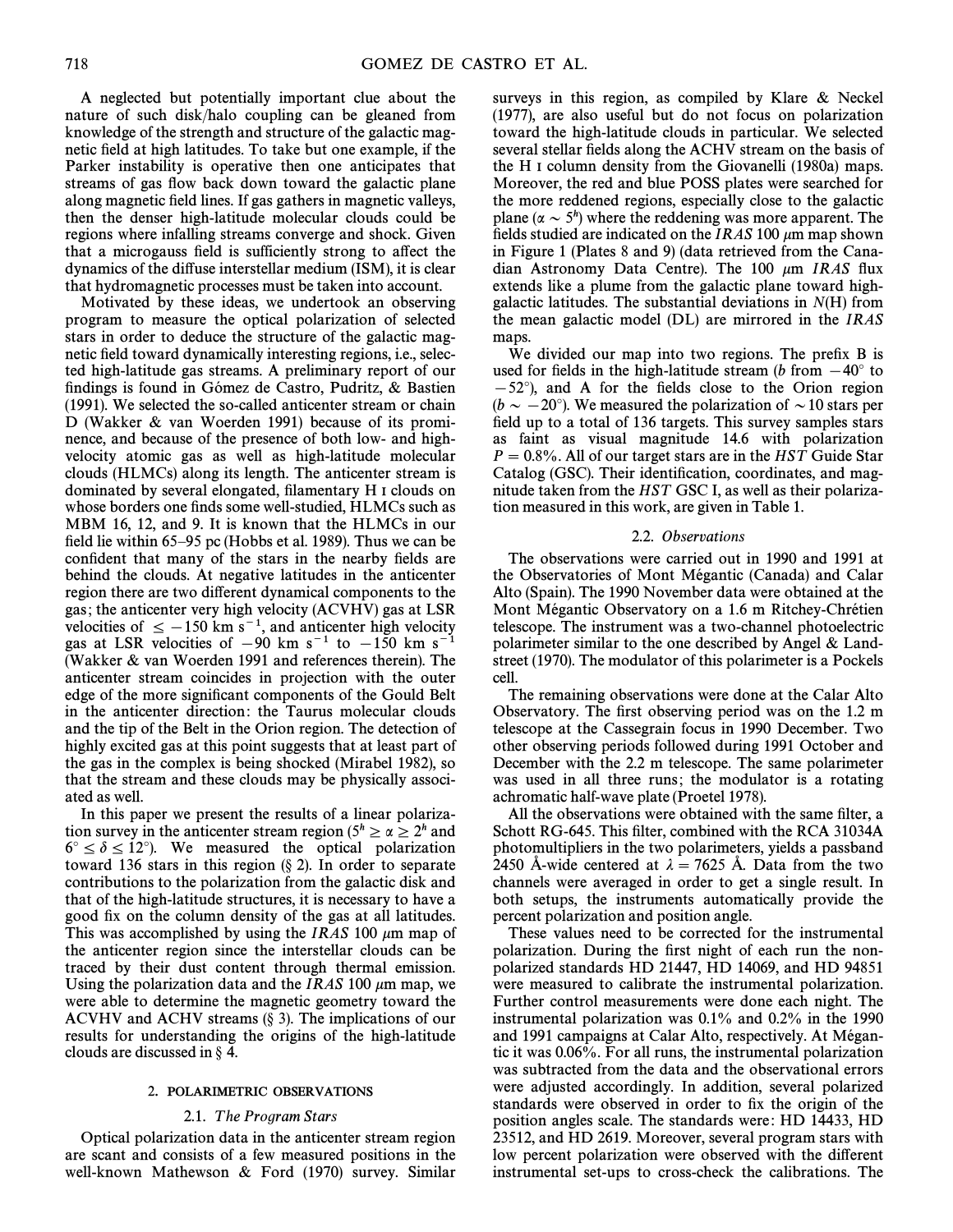A neglected but potentially important clue about the nature of such disk/halo coupling can be gleaned from knowledge of the strength and structure of the galactic magnetic field at high latitudes. To take but one example, if the Parker instability is operative then one anticipates that streams of gas flow back down toward the galactic plane along magnetic field lines. If gas gathers in magnetic valleys, then the denser high-latitude molecular clouds could be regions where infalling streams converge and shock. Given that a microgauss field is sufficiently strong to affect the dynamics of the di†use interstellar medium (ISM), it is clear that hydromagnetic processes must be taken into account.

Motivated by these ideas, we undertook an observing program to measure the optical polarization of selected stars in order to deduce the structure of the galactic magnetic field toward dynamically interesting regions, i.e., selected high-latitude gas streams. A preliminary report of our findings is found in Gómez de Castro, Pudritz,  $\&$  Bastien (1991). We selected the so-called anticenter stream or chain D (Wakker & van Woerden 1991) because of its prominence, and because of the presence of both low- and highvelocity atomic gas as well as high-latitude molecular clouds (HLMCs) along its length. The anticenter stream is dominated by several elongated, filamentary H I clouds on whose borders one finds some well-studied, HLMCs such as MBM 16, 12, and 9. It is known that the HLMCs in our field lie within  $65-95$  pc (Hobbs et al. 1989). Thus we can be confident that many of the stars in the nearby fields are behind the clouds. At negative latitudes in the anticenter region there are two different dynamical components to the gas; the anticenter very high velocity (ACVHV) gas at LSR velocities of  $\le -150$  km s<sup>-1</sup>, and anticenter high velocity gas at LSR velocities of  $-90$  km s<sup>-1</sup> to  $-150$  km s<sup>-1</sup> (Wakker  $\&$  van Woerden 1991 and references therein). The anticenter stream coincides in projection with the outer edge of the more significant components of the Gould Belt in the anticenter direction: the Taurus molecular clouds and the tip of the Belt in the Orion region. The detection of highly excited gas at this point suggests that at least part of the gas in the complex is being shocked (Mirabel 1982), so that the stream and these clouds may be physically associated as well.

In this paper we present the results of a linear polarization survey in the anticenter stream region ( $5^h \ge \alpha \ge 2^h$  and  $6^{\circ} \le \delta \le 12^{\circ}$ ). We measured the optical polarization toward 136 stars in this region  $(\S 2)$ . In order to separate contributions to the polarization from the galactic disk and that of the high-latitude structures, it is necessary to have a good fix on the column density of the gas at all latitudes. This was accomplished by using the IRAS 100  $\mu$ m map of the anticenter region since the interstellar clouds can be traced by their dust content through thermal emission. Using the polarization data and the *IRAS* 100  $\mu$ m map, we were able to determine the magnetic geometry toward the ACVHV and ACHV streams  $(\S 3)$ . The implications of our results for understanding the origins of the high-latitude clouds are discussed in  $\S$  4.

## 2. POLARIMETRIC OBSERVATIONS

## 2.1. The Program Stars

Optical polarization data in the anticenter stream region are scant and consists of a few measured positions in the well-known Mathewson  $&$  Ford (1970) survey. Similar surveys in this region, as compiled by Klare  $\&$  Neckel (1977), are also useful but do not focus on polarization toward the high-latitude clouds in particular. We selected several stellar fields along the ACHV stream on the basis of the H I column density from the Giovanelli  $(1980a)$  maps. Moreover, the red and blue POSS plates were searched for the more reddened regions, especially close to the galactic plane ( $\alpha \sim 5^h$ ) where the reddening was more apparent. The fields studied are indicated on the IRAS 100  $\mu$ m map shown in Figure 1 (Plates  $8$  and  $9$ ) (data retrieved from the Canadian Astronomy Data Centre). The 100  $\mu$ m IRAS flux extends like a plume from the galactic plane toward highgalactic latitudes. The substantial deviations in  $N(H)$  from the mean galactic model  $(DL)$  are mirrored in the *IRAS* maps.

We divided our map into two regions. The prefix  $B$  is used for fields in the high-latitude stream (b from  $-40°$  to  $(-52^{\circ})$ , and A for the fields close to the Orion region  $(b \sim -20^{\circ})$ . We measured the polarization of  $\sim$  10 stars per field up to a total of 136 targets. This survey samples stars as faint as visual magnitude 14.6 with polarization  $P = 0.8\%$ . All of our target stars are in the HST Guide Star Catalog (GSC). Their identification, coordinates, and magnitude taken from the HST GSC I, as well as their polarization measured in this work, are given in Table 1.

# 2.2. Observations

The observations were carried out in 1990 and 1991 at the Observatories of Mont Mégantic (Canada) and Calar Alto (Spain). The 1990 November data were obtained at the Mont Mégantic Observatory on a 1.6 m Ritchey-Chrétien telescope. The instrument was a two-channel photoelectric polarimeter similar to the one described by Angel  $\&$  Landstreet (1970). The modulator of this polarimeter is a Pockels cell.

The remaining observations were done at the Calar Alto Observatory. The first observing period was on the 1.2 m telescope at the Cassegrain focus in 1990 December. Two other observing periods followed during 1991 October and December with the 2.2 m telescope. The same polarimeter was used in all three runs; the modulator is a rotating achromatic half-wave plate (Proetel 1978).

All the observations were obtained with the same filter, a Schott RG-645. This filter, combined with the RCA 31034A photomultipliers in the two polarimeters, yields a passband 2450 A-wide centered at  $\lambda = 7625$  A. Data from the two channels were averaged in order to get a single result. In both setups, the instruments automatically provide the percent polarization and position angle.

These values need to be corrected for the instrumental polarization. During the first night of each run the nonpolarized standards HD 21447, HD 14069, and HD 94851 were measured to calibrate the instrumental polarization. Further control measurements were done each night. The instrumental polarization was 0.1% and 0.2% in the 1990 and 1991 campaigns at Calar Alto, respectively. At Mégantic it was 0.06%. For all runs, the instrumental polarization was subtracted from the data and the observational errors were adjusted accordingly. In addition, several polarized standards were observed in order to fix the origin of the position angles scale. The standards were: HD 14433, HD 23512, and HD 2619. Moreover, several program stars with low percent polarization were observed with the different instrumental set-ups to cross-check the calibrations. The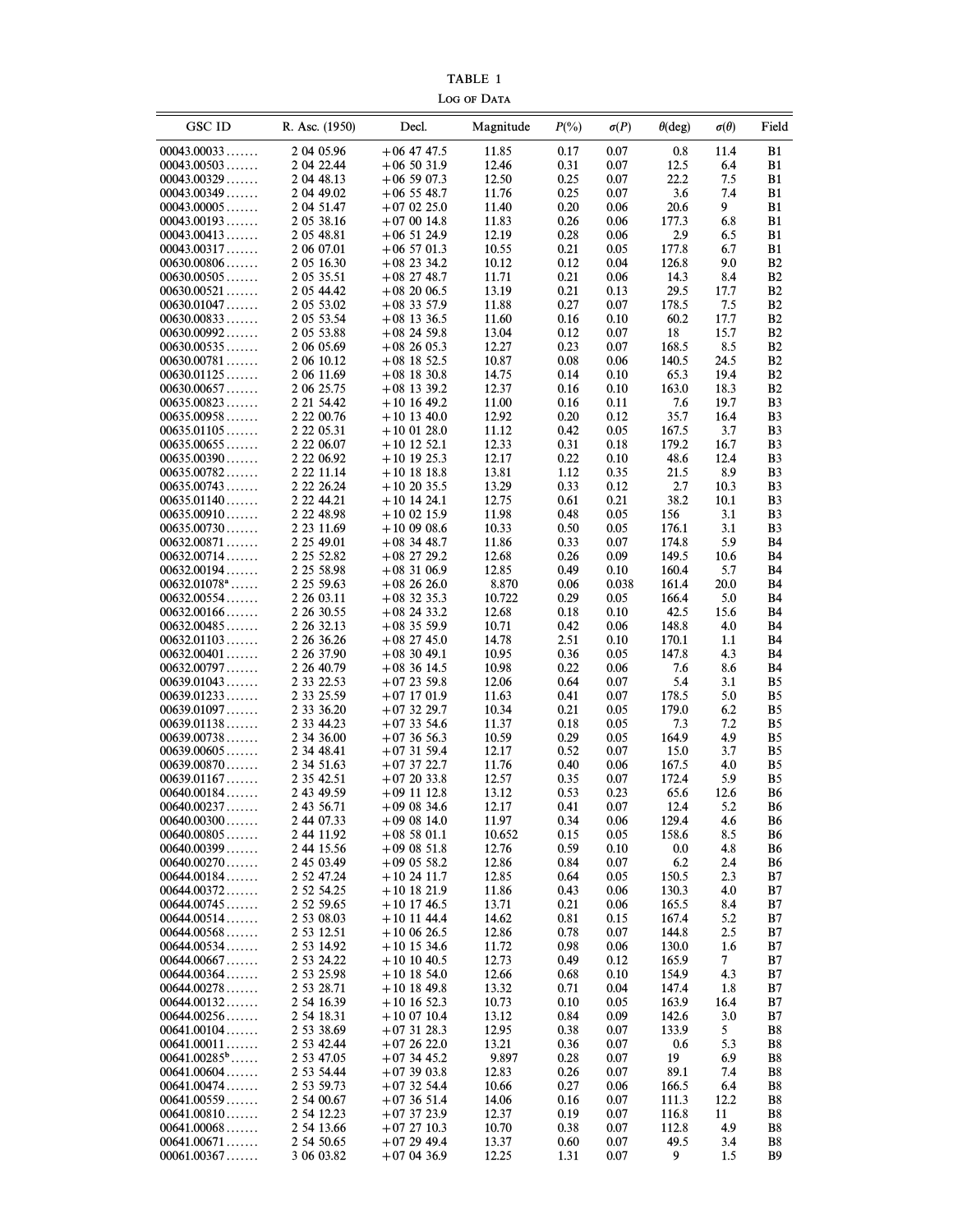TABLE 1 LOG OF DATA

| <b>GSC ID</b>              | R. Asc. (1950)                 | Decl.                          | Magnitude      | $P(\% )$     | $\sigma(P)$  | $\theta$ (deg) | $\sigma(\theta)$       | Field           |
|----------------------------|--------------------------------|--------------------------------|----------------|--------------|--------------|----------------|------------------------|-----------------|
| 00043.00033                | 2 04 05.96                     | $+06$ 47 47.5                  | 11.85          | 0.17         | 0.07         | 0.8            | 11.4                   | B1              |
| 00043.00503                | 2 04 22.44                     | $+065031.9$                    | 12.46          | 0.31         | 0.07         | 12.5           | 6.4                    | B1              |
| 00043.00329                | 2 04 48.13                     | $+065907.3$                    | 12.50          | 0.25         | 0.07         | 22.2           | 7.5                    | B1              |
| 00043.00349                | 2 04 49.02                     | $+06$ 55 48.7                  | 11.76          | 0.25         | 0.07         | 3.6            | 7.4                    | B1              |
| 00043.00005                | 2 04 51.47                     | $+070225.0$                    | 11.40          | 0.20         | 0.06         | 20.6           | 9                      | B1              |
| 00043.00193                | 2 05 38.16                     | $+070014.8$                    | 11.83          | 0.26         | 0.06         | 177.3          | 6.8                    | B1              |
| 00043.00413                | 2 05 48.81                     | $+065124.9$                    | 12.19          | 0.28         | 0.06         | 2.9            | 6.5                    | B1              |
| 00043.00317                | 2 06 07.01                     | $+06$ 57 01.3                  | 10.55          | 0.21         | 0.05         | 177.8          | 6.7                    | B1              |
| 00630.00806                | 2 05 16.30                     | $+082334.2$                    | 10.12          | 0.12         | 0.04         | 126.8          | 9.0                    | <b>B2</b>       |
| 00630.00505<br>00630.00521 | 2 05 35.51<br>2 05 44.42       | $+08$ 27 48.7<br>$+082006.5$   | 11.71<br>13.19 | 0.21<br>0.21 | 0.06<br>0.13 | 14.3<br>29.5   | 8.4<br>17.7            | <b>B2</b><br>B2 |
| 00630.01047                | 2 05 53.02                     | $+083357.9$                    | 11.88          | 0.27         | 0.07         | 178.5          | 7.5                    | <b>B2</b>       |
| 00630.00833                | 2 05 53.54                     | $+08$ 13 36.5                  | 11.60          | 0.16         | 0.10         | 60.2           | 17.7                   | B2              |
| 00630.00992                | 2 05 53.88                     | $+082459.8$                    | 13.04          | 0.12         | 0.07         | 18             | 15.7                   | <b>B2</b>       |
| 00630.00535                | 2 06 05.69                     | $+082605.3$                    | 12.27          | 0.23         | 0.07         | 168.5          | 8.5                    | B2              |
| 00630.00781                | 2 06 10.12                     | $+08$ 18 52.5                  | 10.87          | 0.08         | 0.06         | 140.5          | 24.5                   | <b>B2</b>       |
| 00630.01125                | 2 06 11.69                     | $+08$ 18 30.8                  | 14.75          | 0.14         | 0.10         | 65.3           | 19.4                   | B2              |
| 00630.00657                | 2 06 25.75                     | $+08$ 13 39.2                  | 12.37          | 0.16         | 0.10         | 163.0          | 18.3                   | <b>B2</b>       |
| 00635.00823                | 2 21 54.42                     | $+101649.2$                    | 11.00          | 0.16         | 0.11         | 7.6            | 19.7                   | B3              |
| 00635.00958                | 2 2 2 0 0.76                   | $+10$ 13 40.0                  | 12.92          | 0.20         | 0.12         | 35.7           | 16.4                   | B3              |
| 00635.01105                | 2 22 05.31                     | $+100128.0$                    | 11.12          | 0.42         | 0.05         | 167.5          | 3.7                    | B3              |
| 00635.00655<br>00635.00390 | 2 2 2 0 6.0 7<br>2 2 2 0 6.9 2 | $+10$ 12 52.1<br>$+10$ 19 25.3 | 12.33<br>12.17 | 0.31<br>0.22 | 0.18<br>0.10 | 179.2<br>48.6  | 16.7<br>12.4           | B3<br>B3        |
| 00635.00782                | 2 2 2 11.14                    | $+10$ 18 18.8                  | 13.81          | 1.12         | 0.35         | 21.5           | 8.9                    | B3              |
| 00635.00743                | 2 22 26.24                     | $+102035.5$                    | 13.29          | 0.33         | 0.12         | 2.7            | 10.3                   | B3              |
| 00635.01140                | 2 2 2 4 4.2 1                  | $+10$ 14 24.1                  | 12.75          | 0.61         | 0.21         | 38.2           | 10.1                   | B3              |
| 00635.00910                | 2 2 48.98                      | $+100215.9$                    | 11.98          | 0.48         | 0.05         | 156            | 3.1                    | B3              |
| 00635.00730                | 2 23 11.69                     | $+100908.6$                    | 10.33          | 0.50         | 0.05         | 176.1          | 3.1                    | B3              |
| 00632.00871                | 2 25 49.01                     | $+08$ 34 48.7                  | 11.86          | 0.33         | 0.07         | 174.8          | 5.9                    | B4              |
| 00632.00714                | 2 25 52.82                     | $+08$ 27 29.2                  | 12.68          | 0.26         | 0.09         | 149.5          | 10.6                   | B4              |
| 00632.00194                | 2 25 58.98                     | $+083106.9$                    | 12.85          | 0.49         | 0.10         | 160.4          | 5.7                    | B4              |
| $00632.01078$ <sup>a</sup> | 2 25 59.63                     | $+082626.0$                    | 8.870          | 0.06         | 0.038        | 161.4          | 20.0                   | B4              |
| 00632.00554                | 2 26 03.11                     | $+08$ 32 35.3                  | 10.722         | 0.29         | 0.05         | 166.4          | 5.0                    | B4              |
| 00632.00166                | 2 26 30.55                     | $+082433.2$                    | 12.68          | 0.18         | 0.10         | 42.5           | 15.6                   | B4              |
| 00632.00485<br>00632.01103 | 2 26 32.13<br>2 26 36.26       | $+083559.9$<br>$+08$ 27 45.0   | 10.71<br>14.78 | 0.42<br>2.51 | 0.06         | 148.8<br>170.1 | 4.0<br>1.1             | B4<br>B4        |
| 00632.00401                | 2 26 37.90                     | $+083049.1$                    | 10.95          | 0.36         | 0.10<br>0.05 | 147.8          | 4.3                    | B4              |
| 00632.00797                | 2 26 40.79                     | $+083614.5$                    | 10.98          | 0.22         | 0.06         | 7.6            | 8.6                    | B4              |
| 00639.01043                | 2 33 22.53                     | $+072359.8$                    | 12.06          | 0.64         | 0.07         | 5.4            | 3.1                    | B5              |
| 00639.01233                | 2 33 25.59                     | $+07$ 17 01.9                  | 11.63          | 0.41         | 0.07         | 178.5          | 5.0                    | B5              |
| 00639.01097                | 2 33 36.20                     | $+073229.7$                    | 10.34          | 0.21         | 0.05         | 179.0          | 6.2                    | B5              |
| 00639.01138                | 2 33 44.23                     | $+073354.6$                    | 11.37          | 0.18         | 0.05         | 7.3            | 7.2                    | B5              |
| 00639.00738                | 2 34 36.00                     | $+073656.3$                    | 10.59          | 0.29         | 0.05         | 164.9          | 4.9                    | B5              |
| 00639.00605                | 2 34 48.41                     | $+073159.4$                    | 12.17          | 0.52         | 0.07         | 15.0           | 3.7                    | B5              |
| 00639.00870                | 2 34 51.63                     | $+073722.7$                    | 11.76          | 0.40         | 0.06         | 167.5          | 4.0                    | B5              |
| 00639.01167<br>00640.00184 | 2 35 42.51<br>2 43 49.59       | $+072033.8$<br>$+09$ 11 12.8   | 12.57<br>13.12 | 0.35<br>0.53 | 0.07<br>0.23 | 172.4<br>65.6  | 5.9<br>12.6            | B5<br><b>B6</b> |
| $00640.00237\dots$         | 2 43 56.71                     | $+090834.6$                    | 12.17          | 0.41         | 0.07         | 12.4           | 5.2                    | B6              |
| 00640.00300                | 2 44 07.33                     | $+090814.0$                    | 11.97          | 0.34         | 0.06         | 129.4          | 4.6                    | B6              |
| 00640.00805                | 2 44 11.92                     | $+085801.1$                    | 10.652         | 0.15         | 0.05         | 158.6          | 8.5                    | B6              |
| 00640.00399                | 2 44 15.56                     | $+090851.8$                    | 12.76          | 0.59         | 0.10         | 0.0            | 4.8                    | B6              |
| 00640.00270                | 2 45 03.49                     | $+090558.2$                    | 12.86          | 0.84         | 0.07         | 6.2            | 2.4                    | B6              |
| 00644.00184                | 2 52 47.24                     | $+102411.7$                    | 12.85          | 0.64         | 0.05         | 150.5          | 2.3                    | B7              |
| 00644.00372                | 2 52 54.25                     | $+10$ 18 21.9                  | 11.86          | 0.43         | 0.06         | 130.3          | 4.0                    | B7              |
| 00644.00745                | 2 52 59.65                     | $+10$ 17 46.5                  | 13.71          | 0.21         | 0.06         | 165.5          | 8.4                    | B7              |
| 00644.00514                | 2 53 08.03                     | $+10$ 11 44.4                  | 14.62          | 0.81         | 0.15         | 167.4          | 5.2                    | B7              |
| 00644.00568<br>00644.00534 | 2 53 12.51<br>2 53 14.92       | $+100626.5$                    | 12.86          | 0.78         | 0.07         | 144.8          | 2.5                    | B7              |
| 00644.00667                | 2 53 24.22                     | $+10$ 15 34.6<br>$+101040.5$   | 11.72<br>12.73 | 0.98<br>0.49 | 0.06<br>0.12 | 130.0<br>165.9 | 1.6<br>$7\phantom{.0}$ | B7<br>B7        |
| 00644.00364                | 2 53 25.98                     | $+10$ 18 54.0                  | 12.66          | 0.68         | 0.10         | 154.9          | 4.3                    | B7              |
| 00644.00278                | 2 53 28.71                     | $+101849.8$                    | 13.32          | 0.71         | 0.04         | 147.4          | 1.8                    | B7              |
| $00644.00132\dots\dots$    | 2 54 16.39                     | $+10$ 16 52.3                  | 10.73          | 0.10         | 0.05         | 163.9          | 16.4                   | B7              |
| 00644.00256                | 2 54 18.31                     | $+100710.4$                    | 13.12          | 0.84         | 0.09         | 142.6          | 3.0                    | B7              |
| 00641.00104                | 2 53 38.69                     | $+073128.3$                    | 12.95          | 0.38         | 0.07         | 133.9          | 5                      | B8              |
| 00641.00011                | 2 53 42.44                     | $+072622.0$                    | 13.21          | 0.36         | 0.07         | 0.6            | 5.3                    | B8              |
| $00641.00285^{\circ}$      | 2 53 47.05                     | $+073445.2$                    | 9.897          | 0.28         | 0.07         | 19             | 6.9                    | B8              |
| 00641.00604                | 2 53 54.44                     | $+073903.8$                    | 12.83          | 0.26         | 0.07         | 89.1           | 7.4                    | B8              |
| 00641.00474                | 2 53 59.73                     | $+073254.4$                    | 10.66          | 0.27         | 0.06         | 166.5          | 6.4                    | B8              |
| 00641.00559                | 2 54 00.67                     | $+073651.4$                    | 14.06          | 0.16         | 0.07         | 111.3          | 12.2                   | B8              |
| 00641.00810<br>00641.00068 | 2 54 12.23<br>2 54 13.66       | $+073723.9$<br>$+072710.3$     | 12.37<br>10.70 | 0.19<br>0.38 | 0.07<br>0.07 | 116.8<br>112.8 | 11<br>4.9              | B8<br>B8        |
| 00641.00671                | 2 54 50.65                     | $+072949.4$                    | 13.37          | 0.60         | 0.07         | 49.5           | 3.4                    | B8              |
| 00061.00367                | 3 06 03.82                     | $+070436.9$                    | 12.25          | 1.31         | 0.07         | 9              | 1.5                    | B9              |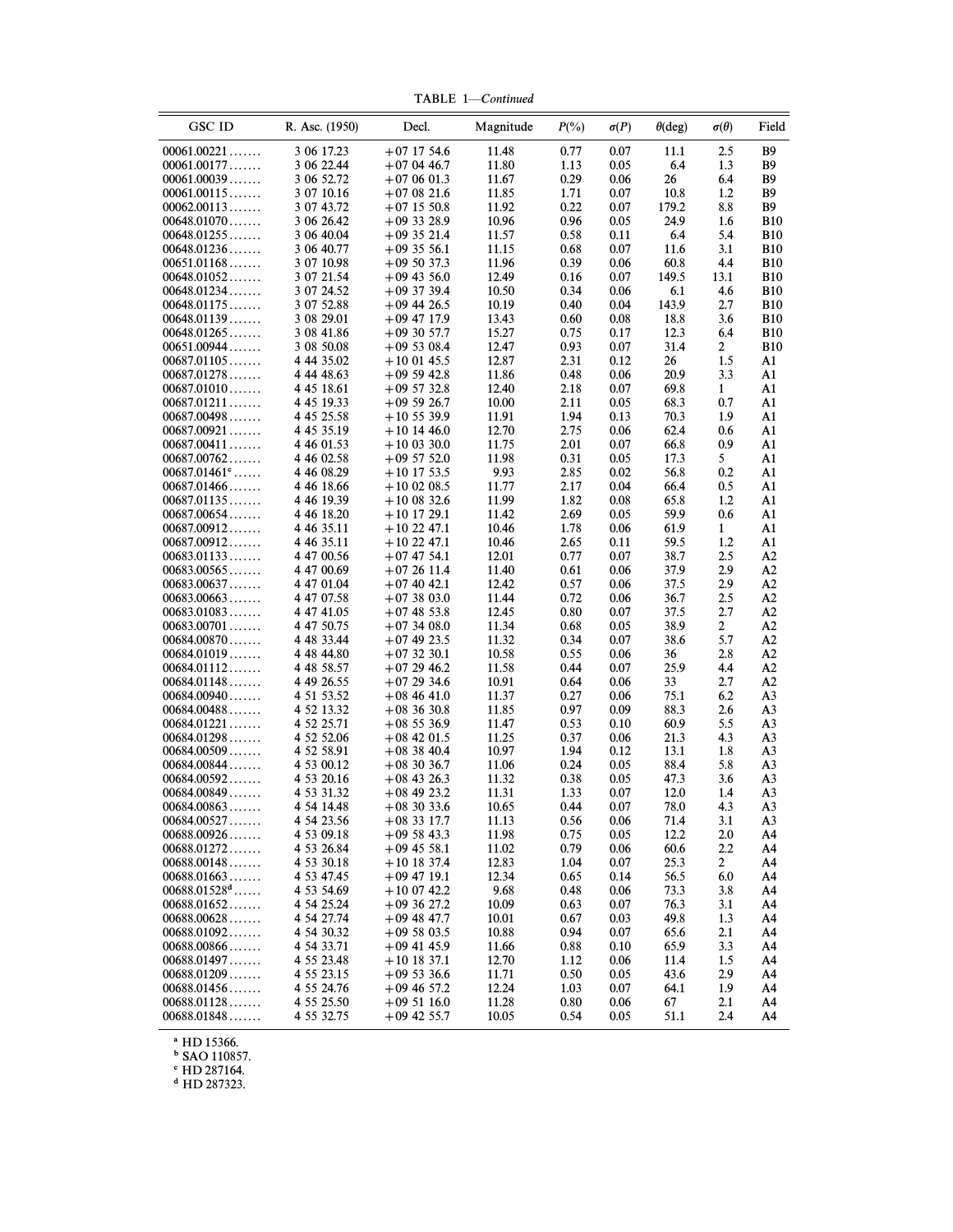| <b>GSC ID</b>              | R. Asc. (1950)           | Decl.                            | Magnitude      | $P(\% )$     | $\sigma(P)$  | $\theta$ (deg) | $\sigma(\theta)$ | Field                    |
|----------------------------|--------------------------|----------------------------------|----------------|--------------|--------------|----------------|------------------|--------------------------|
| 00061.00221                | 3 06 17.23               | $+07$ 17 54.6                    | 11.48          | 0.77         | 0.07         | 11.1           | 2.5              | <b>B</b> 9               |
| 00061.00177                | 3 06 22.44               | $+070446.7$                      | 11.80          | 1.13         | 0.05         | 6.4            | 1.3              | <b>B9</b>                |
| 00061.00039                | 3 06 52.72               | $+070601.3$                      | 11.67          | 0.29         | 0.06         | 26             | 6.4              | B9                       |
| 00061.00115                | 3 07 10.16               | $+070821.6$                      | 11.85          | 1.71         | 0.07         | 10.8           | 1.2              | <b>B9</b>                |
| 00062.00113                | 3 07 43.72               | $+07$ 15 50.8                    | 11.92          | 0.22         | 0.07         | 179.2          | 8.8              | <b>B</b> 9               |
| 00648.01070                | 3 06 26.42               | $+093328.9$                      | 10.96          | 0.96         | 0.05         | 24.9           | 1.6              | <b>B10</b>               |
| 00648.01255                | 3 06 40.04               | $+093521.4$                      | 11.57          | 0.58         | 0.11         | 6.4            | 5.4              | <b>B10</b>               |
| 00648.01236                | 3 06 40.77               | $+093556.1$                      | 11.15          | 0.68         | 0.07         | 11.6           | 3.1              | <b>B10</b>               |
| 00651.01168                | 3 07 10.98               | $+095037.3$                      | 11.96          | 0.39         | 0.06         | 60.8           | 4.4              | <b>B10</b>               |
| 00648.01052                | 3 07 21.54               | $+09$ 43 56.0                    | 12.49          | 0.16         | 0.07         | 149.5          | 13.1             | <b>B10</b>               |
| 00648.01234<br>00648.01175 | 3 07 24.52               | $+09$ 37 39.4                    | 10.50          | 0.34         | 0.06         | 6.1            | 4.6              | <b>B10</b>               |
| 00648.01139                | 3 07 52.88<br>3 08 29.01 | $+09$ 44 26.5<br>$+09$ 47 17.9   | 10.19<br>13.43 | 0.40<br>0.60 | 0.04<br>0.08 | 143.9<br>18.8  | 2.7<br>3.6       | <b>B10</b><br><b>B10</b> |
| 00648.01265                | 3 08 41.86               | $+093057.7$                      | 15.27          | 0.75         | 0.17         | 12.3           | 6.4              | <b>B10</b>               |
| 00651.00944                | 3 08 50.08               | $+095308.4$                      | 12.47          | 0.93         | 0.07         | 31.4           | $\overline{2}$   | <b>B10</b>               |
| 00687.01105                | 4 44 35.02               | $+100145.5$                      | 12.87          | 2.31         | 0.12         | 26             | 1.5              | A1                       |
| 00687.01278                | 4 44 48.63               | $+095942.8$                      | 11.86          | 0.48         | 0.06         | 20.9           | 3.3              | A1                       |
| 00687.01010                | 4 45 18.61               | $+095732.8$                      | 12.40          | 2.18         | 0.07         | 69.8           | $\mathbf{1}$     | A1                       |
| 00687.01211                | 4 45 19.33               | $+095926.7$                      | 10.00          | 2.11         | 0.05         | 68.3           | 0.7              | A1                       |
| 00687.00498                | 4 45 25.58               | $+105539.9$                      | 11.91          | 1.94         | 0.13         | 70.3           | 1.9              | A1                       |
| 00687.00921                | 4 45 35.19               | $+10$ 14 46.0                    | 12.70          | 2.75         | 0.06         | 62.4           | 0.6              | A1                       |
| 00687.00411                | 4 46 01.53               | $+100330.0$                      | 11.75          | 2.01         | 0.07         | 66.8           | 0.9              | A1                       |
| 00687.00762                | 4 46 02.58               | $+095752.0$                      | 11.98          | 0.31         | 0.05         | 17.3           | 5                | A1                       |
| $00687.01461$ °            | 4 46 08.29               | $+10$ 17 53.5                    | 9.93           | 2.85         | 0.02         | 56.8           | 0.2              | A1                       |
| 00687.01466                | 4 46 18.66               | $+100208.5$                      | 11.77          | 2.17         | 0.04         | 66.4           | 0.5              | A1                       |
| 00687.01135                | 4 46 19.39               | $+100832.6$                      | 11.99          | 1.82         | 0.08         | 65.8           | 1.2              | A1                       |
| 00687.00654                | 4 46 18.20               | $+10$ 17 29.1                    | 11.42          | 2.69         | 0.05         | 59.9           | 0.6              | A1                       |
| $00687.00912\dots\dots$    | 4 46 35.11               | $+102247.1$                      | 10.46          | 1.78         | 0.06         | 61.9           | $\mathbf{1}$     | A1                       |
| 00687.00912                | 4 46 35.11               | $+102247.1$                      | 10.46          | 2.65         | 0.11         | 59.5           | 1.2              | A1                       |
| 00683.01133                | 4 47 00.56               | $+07$ 47 54.1                    | 12.01          | 0.77         | 0.07         | 38.7           | 2.5              | A2                       |
| 00683.00565                | 4 47 00.69               | $+072611.4$                      | 11.40          | 0.61         | 0.06         | 37.9           | 2.9<br>2.9       | A2                       |
| 00683.00637<br>00683.00663 | 4 47 01.04<br>4 47 07.58 | $+07$ 40 42.1<br>$+07\,38\,03.0$ | 12.42<br>11.44 | 0.57<br>0.72 | 0.06<br>0.06 | 37.5<br>36.7   | 2.5              | A2<br>A2                 |
| 00683.01083                | 4 47 41.05               | $+07$ 48 53.8                    | 12.45          | 0.80         | 0.07         | 37.5           | 2.7              | A2                       |
| 00683.00701                | 4 47 50.75               | $+07\,34\,08.0$                  | 11.34          | 0.68         | 0.05         | 38.9           | $\overline{2}$   | A2                       |
| 00684.00870                | 4 48 33.44               | $+07$ 49 23.5                    | 11.32          | 0.34         | 0.07         | 38.6           | 5.7              | A2                       |
| 00684.01019                | 4 48 44.80               | $+073230.1$                      | 10.58          | 0.55         | 0.06         | 36             | 2.8              | A2                       |
| 00684.01112                | 4 48 58.57               | $+072946.2$                      | 11.58          | 0.44         | 0.07         | 25.9           | 4.4              | A2                       |
| 00684.01148                | 4 49 26.55               | $+072934.6$                      | 10.91          | 0.64         | 0.06         | 33             | 2.7              | A2                       |
| 00684.00940                | 4 51 53.52               | $+08$ 46 41.0                    | 11.37          | 0.27         | 0.06         | 75.1           | 6.2              | A <sub>3</sub>           |
| 00684.00488                | 4 52 13.32               | $+083630.8$                      | 11.85          | 0.97         | 0.09         | 88.3           | 2.6              | A <sub>3</sub>           |
| 00684.01221                | 4 52 25.71               | $+08536.9$                       | 11.47          | 0.53         | 0.10         | 60.9           | 5.5              | A <sub>3</sub>           |
| 00684.01298                | 4 52 52.06               | $+08$ 42 01.5                    | 11.25          | 0.37         | 0.06         | 21.3           | 4.3              | A <sub>3</sub>           |
| 00684.00509                | 4 52 58.91               | $+083840.4$                      | 10.97          | 1.94         | 0.12         | 13.1           | 1.8              | A <sub>3</sub>           |
| 00684.00844                | 4 53 00.12               | $+08$ 30 36.7                    | 11.06          | 0.24         | 0.05         | 88.4           | 5.8              | A <sub>3</sub>           |
| 00684.00592                | 4 53 20.16               | $+08$ 43 26.3                    | 11.32          | 0.38         | 0.05         | 47.3           | 3.6              | A <sub>3</sub>           |
| 00684.00849                | 4 53 31.32               | $+08$ 49 23.2                    | 11.31          | 1.33         | 0.07         | 12.0           | 1.4              | A3                       |
| 00684.00863<br>00684.00527 | 4 54 14.48<br>4 54 23.56 | $+08$ 30 33.6<br>$+08$ 33 17.7   | 10.65<br>11.13 | 0.44<br>0.56 | 0.07         | 78.0<br>71.4   | 4.3<br>3.1       | A3<br>A <sub>3</sub>     |
| 00688.00926                | 4 53 09.18               | $+095843.3$                      | 11.98          | 0.75         | 0.06<br>0.05 | 12.2           | 2.0              | A4                       |
| 00688.01272                | 4 53 26.84               | $+09$ 45 58.1                    | 11.02          | 0.79         | 0.06         | 60.6           | 2.2              | A4                       |
| 00688.00148                | 4 53 30.18               | $+10$ 18 37.4                    | 12.83          | 1.04         | 0.07         | 25.3           | $\mathbf{2}$     | A4                       |
| 00688.01663                | 4 53 47.45               | $+09$ 47 19.1                    | 12.34          | 0.65         | 0.14         | 56.5           | 6.0              | A4                       |
| $00688.01528^d \dots$      | 4 53 54.69               | $+100742.2$                      | 9.68           | 0.48         | 0.06         | 73.3           | 3.8              | A4                       |
| 00688.01652                | 4 54 25.24               | $+093627.2$                      | 10.09          | 0.63         | 0.07         | 76.3           | 3.1              | A4                       |
| 00688.00628                | 4 54 27.74               | $+09$ 48 47.7                    | 10.01          | 0.67         | 0.03         | 49.8           | 1.3              | A4                       |
| 00688.01092                | 4 54 30.32               | $+095803.5$                      | 10.88          | 0.94         | 0.07         | 65.6           | 2.1              | A4                       |
| 00688.00866                | 4 54 33.71               | $+09$ 41 45.9                    | 11.66          | 0.88         | 0.10         | 65.9           | 3.3              | A4                       |
| 00688.01497                | 4 55 23.48               | $+10$ 18 37.1                    | 12.70          | 1.12         | 0.06         | 11.4           | 1.5              | A4                       |
| 00688.01209                | 4 55 23.15               | $+095336.6$                      | 11.71          | 0.50         | 0.05         | 43.6           | 2.9              | A4                       |
| 00688.01456                | 4 55 24.76               | $+09$ 46 57.2                    | 12.24          | 1.03         | 0.07         | 64.1           | 1.9              | A4                       |
| 00688.01128                | 4 55 25.50               | $+095116.0$                      | 11.28          | 0.80         | 0.06         | 67             | 2.1              | A4                       |
| 00688.01848                | 4 55 32.75               | $+09$ 42 55.7                    | 10.05          | 0.54         | 0.05         | 51.1           | 2.4              | A4                       |

TABLE 1-Continued

a HD 15366.

b SAO 110857.

c HD 287164.

d HD 287323.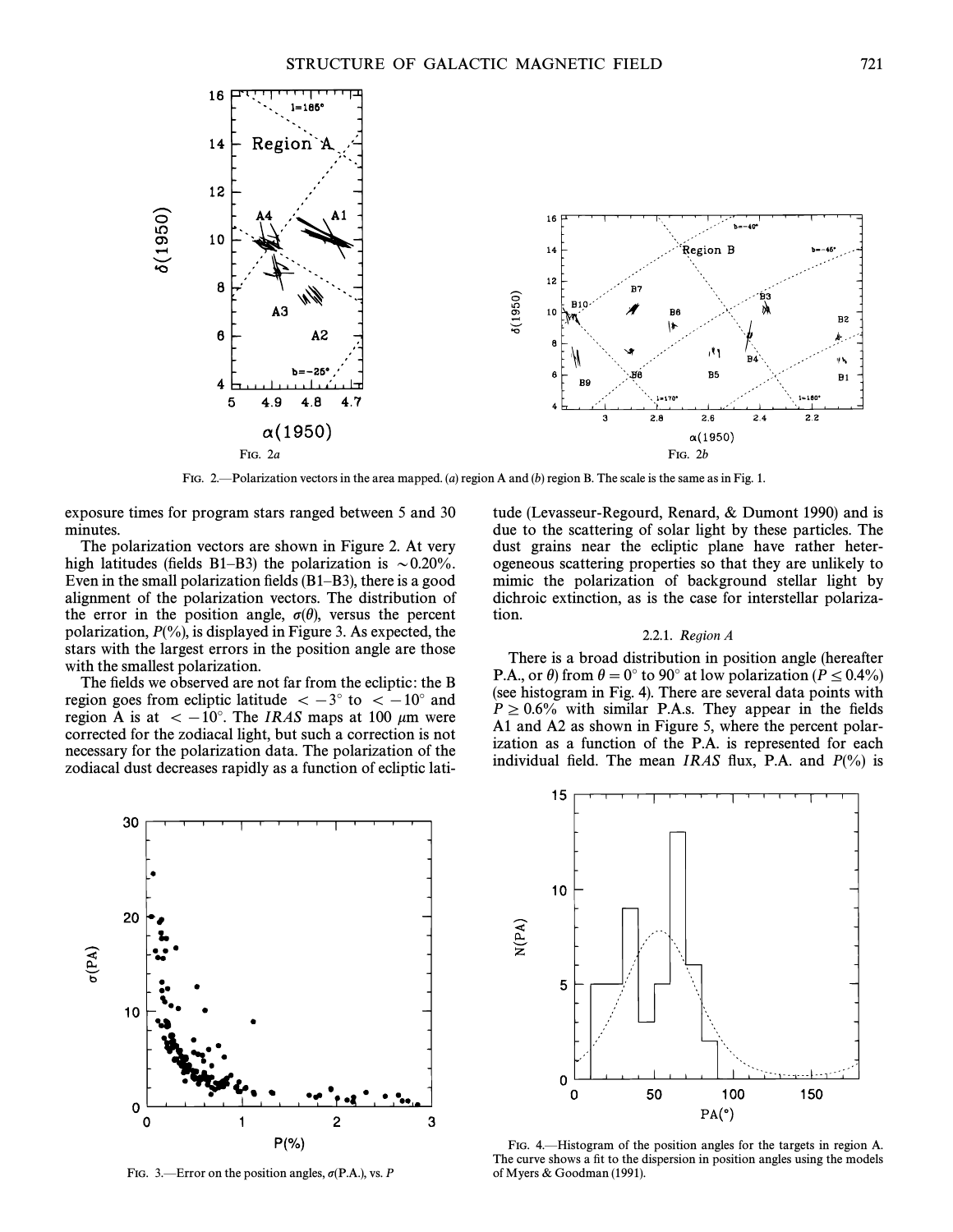

FIG. 2.—Polarization vectors in the area mapped. (a) region A and (b) region B. The scale is the same as in Fig. 1.

exposure times for program stars ranged between 5 and 30 minutes.

The polarization vectors are shown in Figure 2. At very high latitudes (fields B1–B3) the polarization is  $\sim 0.20\%$ . Even in the small polarization fields  $(B1-B3)$ , there is a good alignment of the polarization vectors. The distribution of the error in the position angle,  $\sigma(\theta)$ , versus the percent polarization,  $P(\%)$ , is displayed in Figure 3. As expected, the stars with the largest errors in the position angle are those with the smallest polarization.

The fields we observed are not far from the ecliptic: the B region goes from ecliptic latitude  $\ < -3°$  to  $\ < -10°$  and region A is at  $\ < -10°$ . The IRAS maps at 100 µm were corrected for the zodiacal light, but such a correction is not necessary for the polarization data. The polarization of the zodiacal dust decreases rapidly as a function of ecliptic latitude (Levasseur-Regourd, Renard,  $&$  Dumont 1990) and is due to the scattering of solar light by these particles. The dust grains near the ecliptic plane have rather heterogeneous scattering properties so that they are unlikely to mimic the polarization of background stellar light by dichroic extinction, as is the case for interstellar polarization.

## 2.2.1. Region A

There is a broad distribution in position angle (hereafter P.A., or  $\theta$ ) from  $\theta = 0^\circ$  to 90° at low polarization ( $P \le 0.4\%$ ) (see histogram in Fig. 4). There are several data points with  $P \ge 0.6\%$  with similar P.A.s. They appear in the fields A1 and A2 as shown in Figure 5, where the percent polarization as a function of the P.A. is represented for each individual field. The mean IRAS flux, P.A. and  $P(\%)$  is



FIG. 3.—Error on the position angles,  $\sigma$ (P.A.), vs. P



FIG. 4.—Histogram of the position angles for the targets in region A. The curve shows a fit to the dispersion in position angles using the models of Myers & Goodman (1991).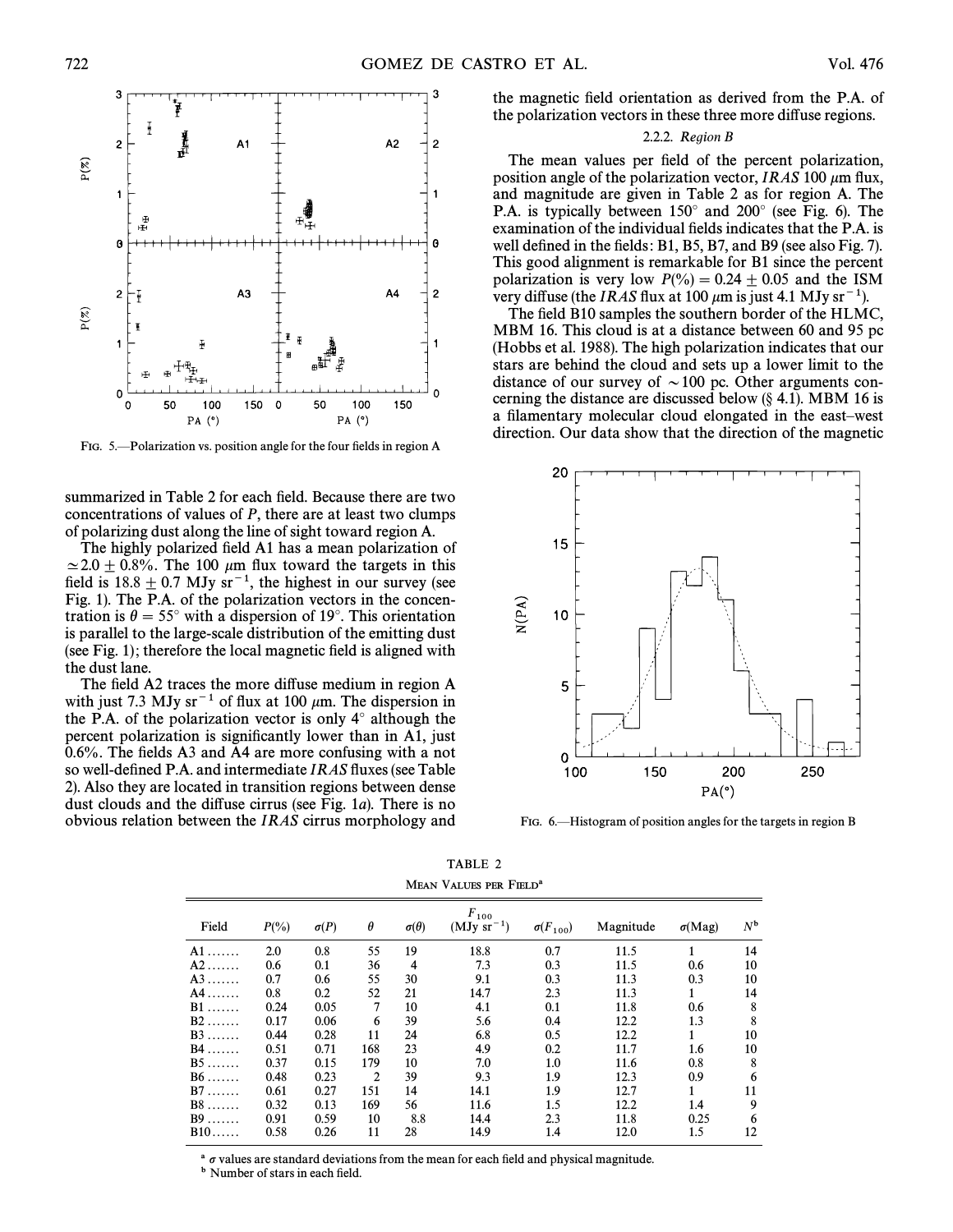

FIG. 5.—Polarization vs. position angle for the four fields in region A

summarized in Table 2 for each field. Because there are two concentrations of values of P, there are at least two clumps of polarizing dust along the line of sight toward region A.

The highly polarized field A1 has a mean polarization of  $\simeq$  2.0  $\pm$  0.8%. The 100  $\mu$ m flux toward the targets in this field is  $18.8 \pm 0.7$  MJy sr<sup>-1</sup>, the highest in our survey (see Fig. 1). The P.A. of the polarization vectors in the concentration is  $\theta = 55°$  with a dispersion of 19°. This orientation is parallel to the large-scale distribution of the emitting dust (see Fig. 1); therefore the local magnetic field is aligned with the dust lane.

The field A2 traces the more diffuse medium in region A with just 7.3 MJy sr<sup> $-1$ </sup> of flux at 100  $\mu$ m. The dispersion in the P.A. of the polarization vector is only  $4^\circ$  although the percent polarization is significantly lower than in A1, just  $0.6\%$ . The fields A3 and A4 are more confusing with a not so well-defined P.A. and intermediate IRAS fluxes (see Table 2). Also they are located in transition regions between dense dust clouds and the diffuse cirrus (see Fig. 1a). There is no obvious relation between the IRAS cirrus morphology and

the magnetic field orientation as derived from the P.A. of the polarization vectors in these three more diffuse regions.

# 2.2.2. Region B

The mean values per field of the percent polarization, position angle of the polarization vector, IRAS 100  $\mu$ m flux, and magnitude are given in Table 2 as for region A. The P.A. is typically between  $150^\circ$  and  $200^\circ$  (see Fig. 6). The examination of the individual fields indicates that the P.A. is well defined in the fields:  $B1$ ,  $B5$ ,  $B7$ , and  $B9$  (see also Fig. 7). This good alignment is remarkable for B1 since the percent polarization is very low  $P(\% ) = 0.24 \pm 0.05$  and the ISM very diffuse (the IRAS flux at 100  $\mu$ m is just 4.1 MJy sr<sup>-1</sup>).

The field B10 samples the southern border of the HLMC, MBM 16. This cloud is at a distance between 60 and 95 pc (Hobbs et al. 1988). The high polarization indicates that our stars are behind the cloud and sets up a lower limit to the distance of our survey of  $\sim 100$  pc. Other arguments concerning the distance are discussed below  $(\S 4.1)$ . MBM 16 is a filamentary molecular cloud elongated in the east-west direction. Our data show that the direction of the magnetic



FIG. 6.—Histogram of position angles for the targets in region B

| MEAN VALUES PER FIELD <sup>a</sup> |          |             |          |                  |                           |                   |           |               |             |
|------------------------------------|----------|-------------|----------|------------------|---------------------------|-------------------|-----------|---------------|-------------|
| Field                              | $P(\% )$ | $\sigma(P)$ | $\theta$ | $\sigma(\theta)$ | $F_{100}$<br>$(MJy sr-1)$ | $\sigma(F_{100})$ | Magnitude | $\sigma(Mag)$ | $N^{\rm b}$ |
| $A1$                               | 2.0      | 0.8         | 55       | 19               | 18.8                      | 0.7               | 11.5      |               | 14          |
| $A2$                               | 0.6      | 0.1         | 36       | $\overline{4}$   | 7.3                       | 0.3               | 11.5      | 0.6           | 10          |
| $A3$                               | 0.7      | 0.6         | 55       | 30               | 9.1                       | 0.3               | 11.3      | 0.3           | 10          |
| $A4$                               | 0.8      | 0.2         | 52       | 21               | 14.7                      | 2.3               | 11.3      |               | 14          |
| $B1$                               | 0.24     | 0.05        | 7        | 10               | 4.1                       | 0.1               | 11.8      | 0.6           | 8           |
| $B2$                               | 0.17     | 0.06        | 6        | 39               | 5.6                       | 0.4               | 12.2      | 1.3           | 8           |
| $B3$                               | 0.44     | 0.28        | 11       | 24               | 6.8                       | 0.5               | 12.2      |               | 10          |
| $B4$                               | 0.51     | 0.71        | 168      | 23               | 4.9                       | 0.2               | 11.7      | 1.6           | 10          |
| $B5$                               | 0.37     | 0.15        | 179      | 10               | 7.0                       | 1.0               | 11.6      | 0.8           | 8           |
| $B6$                               | 0.48     | 0.23        | 2        | 39               | 9.3                       | 1.9               | 12.3      | 0.9           | 6           |
| $B7 \ldots$                        | 0.61     | 0.27        | 151      | 14               | 14.1                      | 1.9               | 12.7      | 1             | 11          |
| $B8$                               | 0.32     | 0.13        | 169      | 56               | 11.6                      | 1.5               | 12.2      | 1.4           | 9           |
| $B9$                               | 0.91     | 0.59        | 10       | 8.8              | 14.4                      | 2.3               | 11.8      | 0.25          | 6           |
| $B10$                              | 0.58     | 0.26        | 11       | 28               | 14.9                      | 1.4               | 12.0      | 1.5           | 12          |

TABLE 2

 $\sigma$  values are standard deviations from the mean for each field and physical magnitude.

b Number of stars in each field.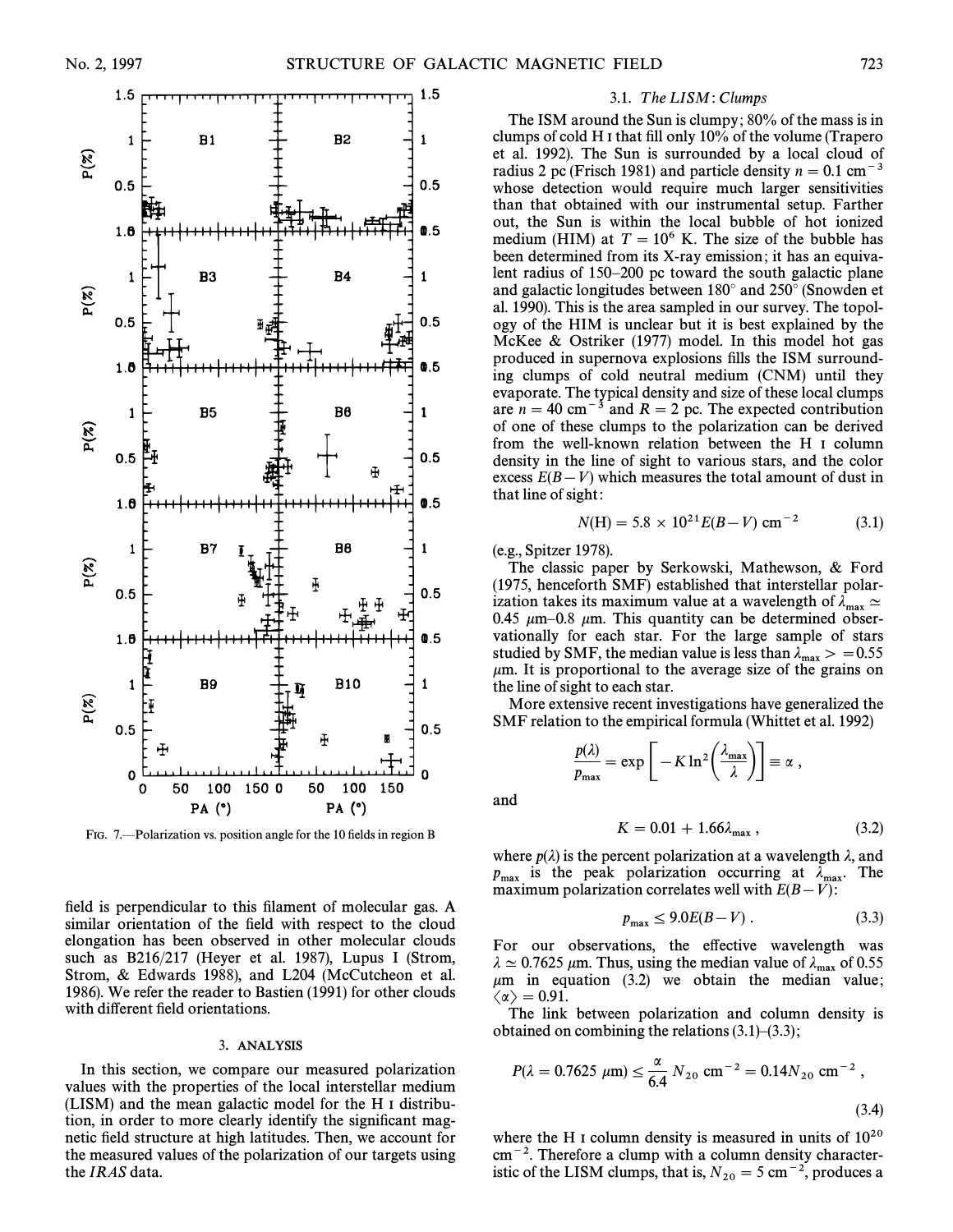

FIG. 7.—Polarization vs. position angle for the 10 fields in region B

field is perpendicular to this filament of molecular gas. A similar orientation of the field with respect to the cloud elongation has been observed in other molecular clouds such as  $B216/217$  (Heyer et al. 1987), Lupus I (Strom, Strom, & Edwards 1988), and L204 (McCutcheon et al. 1986). We refer the reader to Bastien (1991) for other clouds with different field orientations.

### 3. ANALYSIS

In this section, we compare our measured polarization values with the properties of the local interstellar medium (LISM) and the mean galactic model for the H I distribution, in order to more clearly identify the significant magnetic field structure at high latitudes. Then, we account for the measured values of the polarization of our targets using the IRAS data.

### 3.1. The LISM: Clumps

The ISM around the Sun is clumpy; 80% of the mass is in clumps of cold H I that fill only  $10\%$  of the volume (Trapero et al. 1992). The Sun is surrounded by a local cloud of radius 2 pc (Frisch 1981) and particle density  $n = 0.1$  cm<sup>-3</sup> whose detection would require much larger sensitivities than that obtained with our instrumental setup. Farther out, the Sun is within the local bubble of hot ionized medium (HIM) at  $T = 10^6$  K. The size of the bubble has been determined from its X-ray emission; it has an equivalent radius of  $150-200$  pc toward the south galactic plane and galactic longitudes between  $180^\circ$  and  $250^\circ$  (Snowden et al. 1990). This is the area sampled in our survey. The topology of the HIM is unclear but it is best explained by the McKee  $&$  Ostriker (1977) model. In this model hot gas produced in supernova explosions fills the ISM surrounding clumps of cold neutral medium (CNM) until they evaporate. The typical density and size of these local clumps are  $n = 40$  cm<sup>-3</sup> and  $R = 2$  pc. The expected contribution of one of these clumps to the polarization can be derived from the well-known relation between the H I column density in the line of sight to various stars, and the color excess  $E(B-V)$  which measures the total amount of dust in that line of sight:

$$
N(H) = 5.8 \times 10^{21} E(B - V) \text{ cm}^{-2}
$$
 (3.1)

(e.g., Spitzer 1978).

The classic paper by Serkowski, Mathewson,  $\&$  Ford  $(1975,$  henceforth SMF) established that interstellar polarization takes its maximum value at a wavelength of  $\lambda_{\text{max}} \simeq 0.45$  km s  $\sim 0.8$  km. This quantity can be determined observable. 0.45  $\mu$ m–0.8  $\mu$ m. This quantity can be determined observationally for each star. For the large sample of stars studied by SMF, the median value is less than  $\lambda_{\text{max}} > = 0.55$ <br>um. It is proportional to the average size of the grains on  $\mu$ m. It is proportional to the average size of the grains on the line of sight to each star.

More extensive recent investigations have generalized the SMF relation to the empirical formula (Whittet et al. 1992)<br> $\frac{p(\lambda)}{p} = \exp\left[-K \ln^2\left(\frac{\lambda_{\max}}{n}\right)\right] = \alpha$ 

$$
\frac{p(\lambda)}{p_{\max}} = \exp\left[-K \ln^2\left(\frac{\lambda_{\max}}{\lambda}\right)\right] \equiv \alpha,
$$

and

$$
K = 0.01 + 1.66\lambda_{\text{max}} \,, \tag{3.2}
$$

where  $p(\lambda)$  is the percent polarization at a wavelength  $\lambda$ , and  $p_{\text{max}}$  is the peak polarization occurring at  $\lambda_{\text{max}}$ . The maximum polarization correlates well with  $F(B-V)$ . maximum polarization correlates well with  $E(B-V)$ :

$$
p_{\max} \le 9.0E(B-V) \,. \tag{3.3}
$$

For our observations, the effective wavelength was  $\lambda \simeq 0.7625$   $\mu$ m. Thus, using the median value of  $\lambda_{\text{max}}$  of 0.55  $\mu$ m in equation (3.2) we obtain the median value;  $\langle \alpha \rangle = 0.91.$ 

The link between polarization and column density is obtained on combining the relations  $(3.1)$  $-(3.3)$ ;

$$
P(\lambda = 0.7625 \, \mu \text{m}) \le \frac{\alpha}{6.4} \, N_{20} \, \text{cm}^{-2} = 0.14 N_{20} \, \text{cm}^{-2} \,, \tag{3.4}
$$

where the H I column density is measured in units of  $10^{20}$  $cm^{-2}$ . Therefore a clump with a column density characteristic of the LISM clumps, that is,  $N_{20} = 5 \text{ cm}^{-2}$ , produces a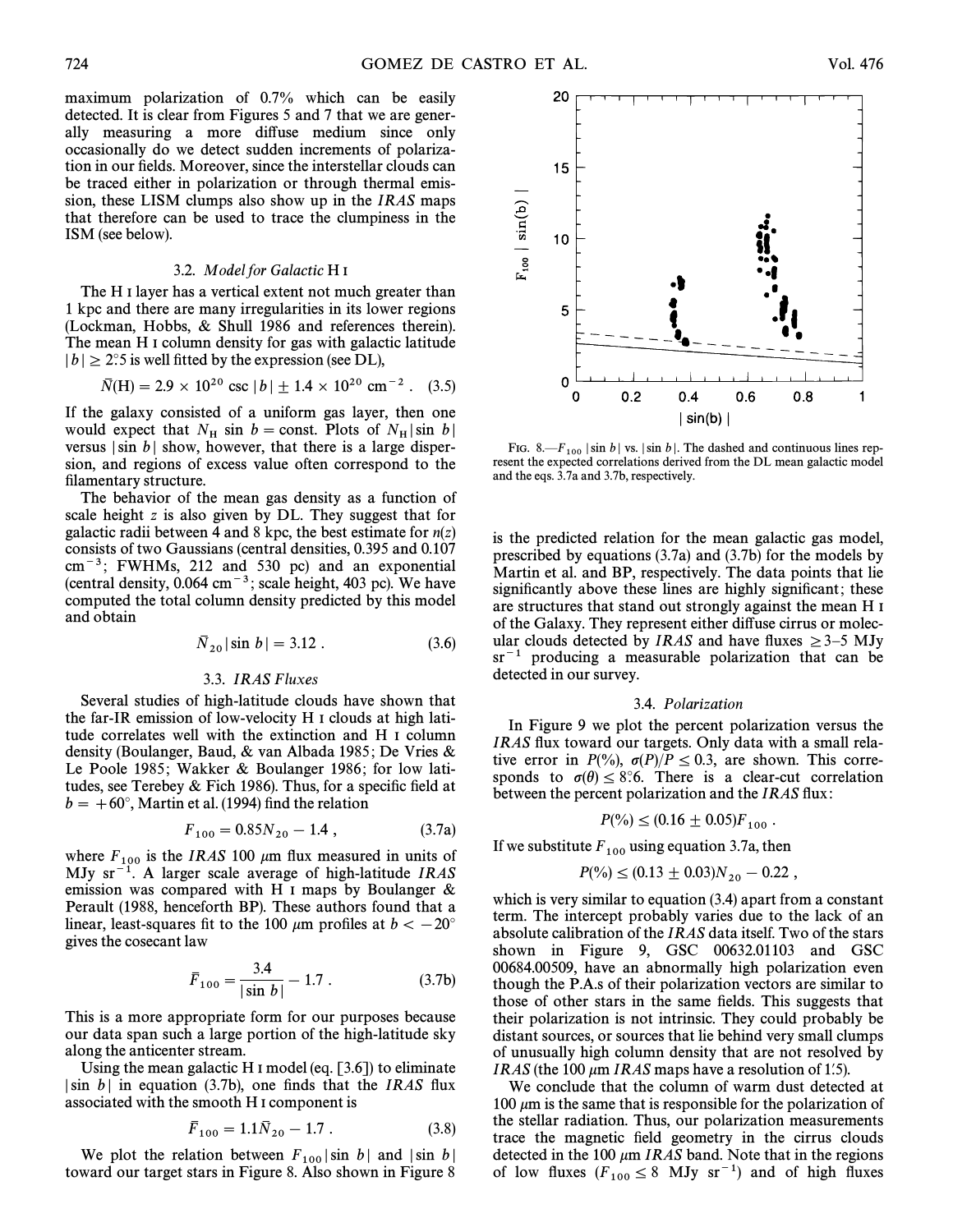maximum polarization of 0.7% which can be easily detected. It is clear from Figures 5 and 7 that we are generally measuring a more diffuse medium since only occasionally do we detect sudden increments of polarization in our fields. Moreover, since the interstellar clouds can be traced either in polarization or through thermal emission, these LISM clumps also show up in the IRAS maps that therefore can be used to trace the clumpiness in the ISM (see below).

#### 3.2. Model for Galactic H I

The H I layer has a vertical extent not much greater than 1 kpc and there are many irregularities in its lower regions (Lockman, Hobbs,  $& Shull$  1986 and references therein). The mean H I column density for gas with galactic latitude  $|b| \ge 2$ °.5 is well fitted by the expression (see DL),

$$
\bar{N}(H) = 2.9 \times 10^{20} \text{ csc } |b| \pm 1.4 \times 10^{20} \text{ cm}^{-2}. \quad (3.5)
$$

If the galaxy consisted of a uniform gas layer, then one would expect that  $N_H \sin b = \text{const.}$  Plots of  $N_H |\sin b|$ versus  $|\sin b|$  show, however, that there is a large dispersion, and regions of excess value often correspond to the filamentary structure.

The behavior of the mean gas density as a function of scale height  $z$  is also given by DL. They suggest that for galactic radii between 4 and 8 kpc, the best estimate for  $n(z)$ consists of two Gaussians (central densities, 0.395 and 0.107  $\text{cm}^{-3}$ ; FWHMs, 212 and 530 pc) and an exponential (central density,  $0.064 \text{ cm}^{-3}$ ; scale height,  $403 \text{ pc}$ ). We have computed the total column density predicted by this model and obtain

$$
\bar{N}_{20} |\sin b| = 3.12 . \tag{3.6}
$$

### 3.3. IRAS Fluxes

Several studies of high-latitude clouds have shown that the far-IR emission of low-velocity H I clouds at high latitude correlates well with the extinction and H I column density (Boulanger, Baud, & van Albada 1985; De Vries & Le Poole 1985; Wakker & Boulanger 1986; for low latitudes, see Terebey & Fich 1986). Thus, for a specific field at  $b = +60^\circ$ , Martin et al. (1994) find the relation

$$
F_{100} = 0.85N_{20} - 1.4 , \t\t(3.7a)
$$

where  $F_{100}$  is the IRAS 100  $\mu$ m flux measured in units of MJy sr<sup>-1</sup>. A larger scale average of high-latitude *IRAS* emission was compared with H I maps by Boulanger  $\&$ Perault (1988, henceforth BP). These authors found that a linear, least-squares fit to the 100  $\mu$ m profiles at  $b < -20°$ gives the cosecant law

$$
\bar{F}_{100} = \frac{3.4}{|\sin b|} - 1.7 \,. \tag{3.7b}
$$

This is a more appropriate form for our purposes because our data span such a large portion of the high-latitude sky along the anticenter stream.

Using the mean galactic H I model (eq.  $[3.6]$ ) to eliminate  $|\sin b|$  in equation (3.7b), one finds that the IRAS flux associated with the smooth H I component is

$$
\bar{F}_{100} = 1.1 \bar{N}_{20} - 1.7 \ . \tag{3.8}
$$

We plot the relation between  $F_{100} |\sin b|$  and  $|\sin b|$ toward our target stars in Figure 8. Also shown in Figure 8.

FIG. 8.— $F_{100}$  | sin b | vs. | sin b |. The dashed and continuous lines represent the expected correlations derived from the DL mean galactic model and the eqs. 3.7a and 3.7b, respectively.

is the predicted relation for the mean galactic gas model, prescribed by equations  $(3.7a)$  and  $(3.7b)$  for the models by Martin et al. and BP, respectively. The data points that lie significantly above these lines are highly significant; these are structures that stand out strongly against the mean H I of the Galaxy. They represent either di†use cirrus or molecular clouds detected by *IRAS* and have fluxes  $\geq$ 3–5 MJy  $sr^{-1}$  producing a measurable polarization that can be detected in our survey.

#### 3.4. Polarization

In Figure 9 we plot the percent polarization versus the IRAS flux toward our targets. Only data with a small relative error in  $P(\%)$ ,  $\sigma(P)/P \le 0.3$ , are shown. This corresponds to  $\sigma(\theta) \leq 8$ °.6. There is a clear-cut correlation between the percent polarization and the IRAS flux:

$$
P(\%)\leq (0.16\pm 0.05)F_{100}.
$$

If we substitute  $F_{100}$  using equation 3.7a, then

$$
P(\%)\leq (0.13\pm 0.03)N_{20}-0.22,
$$

which is very similar to equation  $(3.4)$  apart from a constant term. The intercept probably varies due to the lack of an absolute calibration of the IRAS data itself. Two of the stars shown in Figure 9, GSC  $00632.01103$  and GSC 00684.00509, have an abnormally high polarization even though the P.A.s of their polarization vectors are similar to those of other stars in the same fields. This suggests that their polarization is not intrinsic. They could probably be distant sources, or sources that lie behind very small clumps of unusually high column density that are not resolved by *IRAS* (the 100  $\mu$ m *IRAS* maps have a resolution of 1.5).

We conclude that the column of warm dust detected at 100  $\mu$ m is the same that is responsible for the polarization of the stellar radiation. Thus, our polarization measurements trace the magnetic field geometry in the cirrus clouds detected in the 100  $\mu$ m IRAS band. Note that in the regions of low fluxes  $(F_{100} \leq 8$  MJy sr<sup>-1</sup>) and of high fluxes

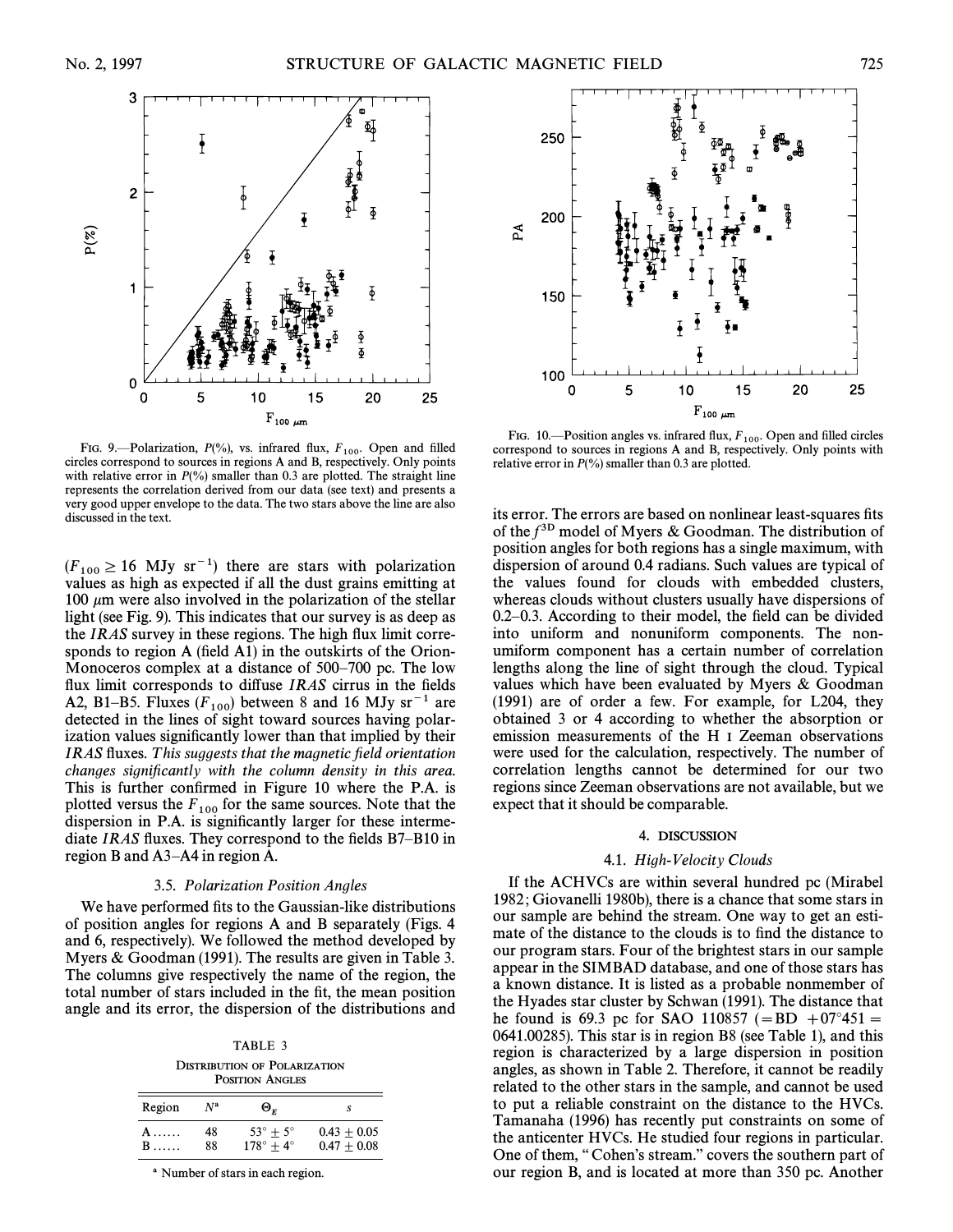

FIG. 9.-Polarization,  $P(\%)$ , vs. infrared flux,  $F_{100}$ . Open and filled circles correspond to sources in regions A and B, respectively. Only points with relative error in  $P(\%)$  smaller than 0.3 are plotted. The straight line represents the correlation derived from our data (see text) and presents a very good upper envelope to the data. The two stars above the line are also discussed in the text.

 $(F_{100} \ge 16$  MJy sr<sup>-1</sup>) there are stars with polarization values as high as expected if all the dust grains emitting at 100  $\mu$ m were also involved in the polarization of the stellar light (see Fig. 9). This indicates that our survey is as deep as the  $IRAS$  survey in these regions. The high flux limit corresponds to region A (field A1) in the outskirts of the Orion-Monoceros complex at a distance of  $500-700$  pc. The low flux limit corresponds to diffuse  $IRAS$  cirrus in the fields A2, B1–B5. Fluxes  $(F_{100})$  between 8 and 16 MJy sr<sup>-1</sup> are detected in the lines of sight toward sources having polarization values significantly lower than that implied by their IRAS fluxes. This suggests that the magnetic field orientation changes significantly with the column density in this area. This is further confirmed in Figure 10 where the P.A. is plotted versus the  $F_{100}$  for the same sources. Note that the dispersion in P.A. is significantly larger for these intermediate IRAS fluxes. They correspond to the fields  $B7-B10$  in region B and  $A3-AA$  in region A.

## 3.5. Polarization Position Angles

We have performed fits to the Gaussian-like distributions of position angles for regions A and B separately (Figs. 4 and 6, respectively). We followed the method developed by Myers  $& Goodman (1991)$ . The results are given in Table 3. The columns give respectively the name of the region, the total number of stars included in the fit, the mean position angle and its error, the dispersion of the distributions and

TABLE 3 DISTRIBUTION OF POLARIZATION POSITION ANGLES

| Region | Nª | $\Theta_F$                | S             |
|--------|----|---------------------------|---------------|
| A      | 48 | $53^\circ + 5^\circ$      | $0.43 + 0.05$ |
| $B$    | 88 | $178^{\circ} + 4^{\circ}$ | $0.47 + 0.08$ |

a Number of stars in each region.



FIG. 10.—Position angles vs. infrared flux,  $F_{100}$ . Open and filled circles correspond to sources in regions A and B, respectively. Only points with relative error in  $P(\% )$  smaller than 0.3 are plotted.

its error. The errors are based on nonlinear least-squares fits of the  $f^{3D}$  model of Myers & Goodman. The distribution of position angles for both regions has a single maximum, with dispersion of around 0.4 radians. Such values are typical of the values found for clouds with embedded clusters, whereas clouds without clusters usually have dispersions of  $0.2-0.3$ . According to their model, the field can be divided into uniform and nonuniform components. The nonumiform component has a certain number of correlation lengths along the line of sight through the cloud. Typical values which have been evaluated by Myers  $\&$  Goodman (1991) are of order a few. For example, for L204, they obtained 3 or 4 according to whether the absorption or emission measurements of the H I Zeeman observations were used for the calculation, respectively. The number of correlation lengths cannot be determined for our two regions since Zeeman observations are not available, but we expect that it should be comparable.

## 4. DISCUSSION

## 4.1. High-Velocity Clouds

If the ACHVCs are within several hundred pc (Mirabel 1982; Giovanelli 1980b), there is a chance that some stars in our sample are behind the stream. One way to get an estimate of the distance to the clouds is to find the distance to our program stars. Four of the brightest stars in our sample appear in the SIMBAD database, and one of those stars has a known distance. It is listed as a probable nonmember of the Hyades star cluster by Schwan (1991). The distance that he found is 69.3 pc for SAO 110857 (=BD  $+07°451 =$  $0641.00285$ ). This star is in region B8 (see Table 1), and this region is characterized by a large dispersion in position angles, as shown in Table 2. Therefore, it cannot be readily related to the other stars in the sample, and cannot be used to put a reliable constraint on the distance to the HVCs. Tamanaha (1996) has recently put constraints on some of the anticenter HVCs. He studied four regions in particular. One of them, "Cohen's stream." covers the southern part of our region B, and is located at more than 350 pc. Another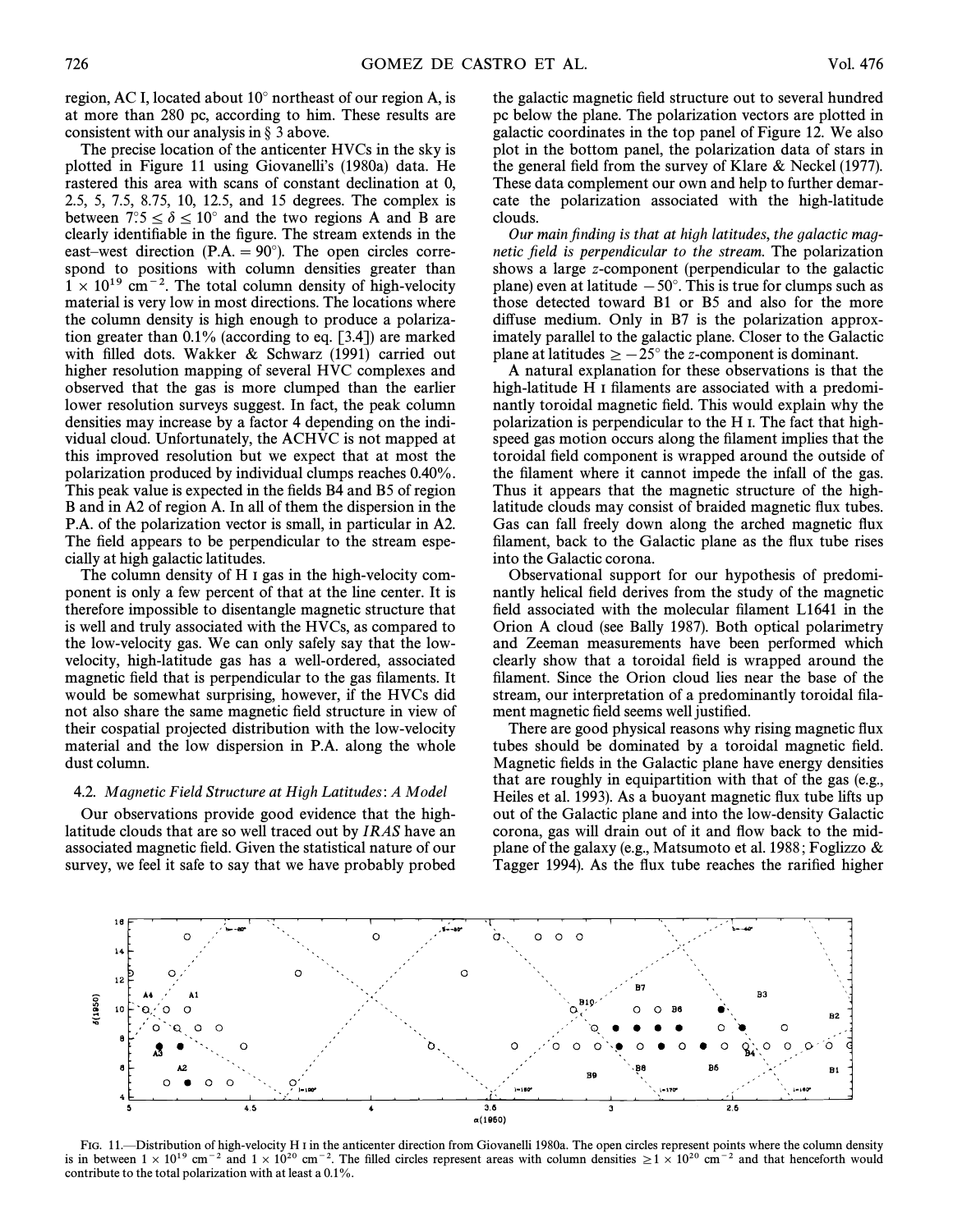region, AC I, located about  $10^{\circ}$  northeast of our region A, is at more than 280 pc, according to him. These results are consistent with our analysis in  $\S$  3 above.

The precise location of the anticenter HVCs in the sky is plotted in Figure 11 using Giovanelli's (1980a) data. He rastered this area with scans of constant declination at 0, 2.5, 5, 7.5, 8.75, 10, 12.5, and 15 degrees. The complex is between  $7^\circ$ :5  $\leq \delta \leq 10^\circ$  and the two regions A and B are clearly identifiable in the figure. The stream extends in the east–west direction (P.A.  $= 90°$ ). The open circles correspond to positions with column densities greater than  $1 \times 10^{19}$  cm<sup>-2</sup>. The total column density of high-velocity material is very low in most directions. The locations where the column density is high enough to produce a polarization greater than  $0.1\%$  (according to eq. [3.4]) are marked with filled dots. Wakker  $\&$  Schwarz (1991) carried out higher resolution mapping of several HVC complexes and observed that the gas is more clumped than the earlier lower resolution surveys suggest. In fact, the peak column densities may increase by a factor 4 depending on the individual cloud. Unfortunately, the ACHVC is not mapped at this improved resolution but we expect that at most the polarization produced by individual clumps reaches 0.40%. This peak value is expected in the fields B4 and B5 of region B and in A2 of region A. In all of them the dispersion in the P.A. of the polarization vector is small, in particular in A2. The field appears to be perpendicular to the stream especially at high galactic latitudes.

The column density of H I gas in the high-velocity component is only a few percent of that at the line center. It is therefore impossible to disentangle magnetic structure that is well and truly associated with the HVCs, as compared to the low-velocity gas. We can only safely say that the lowvelocity, high-latitude gas has a well-ordered, associated magnetic field that is perpendicular to the gas filaments. It would be somewhat surprising, however, if the HVCs did not also share the same magnetic field structure in view of their cospatial projected distribution with the low-velocity material and the low dispersion in P.A. along the whole dust column.

# 4.2. Magnetic Field Structure at High Latitudes: A Model

Our observations provide good evidence that the highlatitude clouds that are so well traced out by IRAS have an associated magnetic field. Given the statistical nature of our survey, we feel it safe to say that we have probably probed

the galactic magnetic field structure out to several hundred pc below the plane. The polarization vectors are plotted in galactic coordinates in the top panel of Figure 12. We also plot in the bottom panel, the polarization data of stars in the general field from the survey of Klare  $\&$  Neckel (1977). These data complement our own and help to further demarcate the polarization associated with the high-latitude clouds.

Our main finding is that at high latitudes, the galactic magnetic field is perpendicular to the stream. The polarization shows a large z-component (perpendicular to the galactic plane) even at latitude  $-50^\circ$ . This is true for clumps such as those detected toward B1 or B5 and also for the more diffuse medium. Only in B7 is the polarization approximately parallel to the galactic plane. Closer to the Galactic plane at latitudes  $\ge -25^\circ$  the z-component is dominant.

A natural explanation for these observations is that the high-latitude H I filaments are associated with a predominantly toroidal magnetic field. This would explain why the polarization is perpendicular to the H I. The fact that highspeed gas motion occurs along the filament implies that the toroidal field component is wrapped around the outside of the filament where it cannot impede the infall of the gas. Thus it appears that the magnetic structure of the highlatitude clouds may consist of braided magnetic Ñux tubes. Gas can fall freely down along the arched magnetic flux filament, back to the Galactic plane as the flux tube rises into the Galactic corona.

Observational support for our hypothesis of predominantly helical field derives from the study of the magnetic field associated with the molecular filament L1641 in the Orion A cloud (see Bally 1987). Both optical polarimetry and Zeeman measurements have been performed which clearly show that a toroidal field is wrapped around the filament. Since the Orion cloud lies near the base of the stream, our interpretation of a predominantly toroidal filament magnetic field seems well justified.

There are good physical reasons why rising magnetic flux tubes should be dominated by a toroidal magnetic field. Magnetic fields in the Galactic plane have energy densities that are roughly in equipartition with that of the gas (e.g., Heiles et al. 1993). As a buoyant magnetic flux tube lifts up out of the Galactic plane and into the low-density Galactic corona, gas will drain out of it and Ñow back to the midplane of the galaxy (e.g., Matsumoto et al. 1988; Foglizzo  $\&$ Tagger 1994). As the flux tube reaches the rarified higher



FIG. 11.—Distribution of high-velocity H I in the anticenter direction from Giovanelli 1980a. The open circles represent points where the column density is in between  $1 \times 10^{19}$  cm<sup>-2</sup> and  $1 \times 10^{20}$  cm<sup>-2</sup>. The filled circles represent areas with column densities  $\ge 1 \times 10^{20}$  cm<sup>-2</sup> and that henceforth would contribute to the total polarization with at least a 0.1%.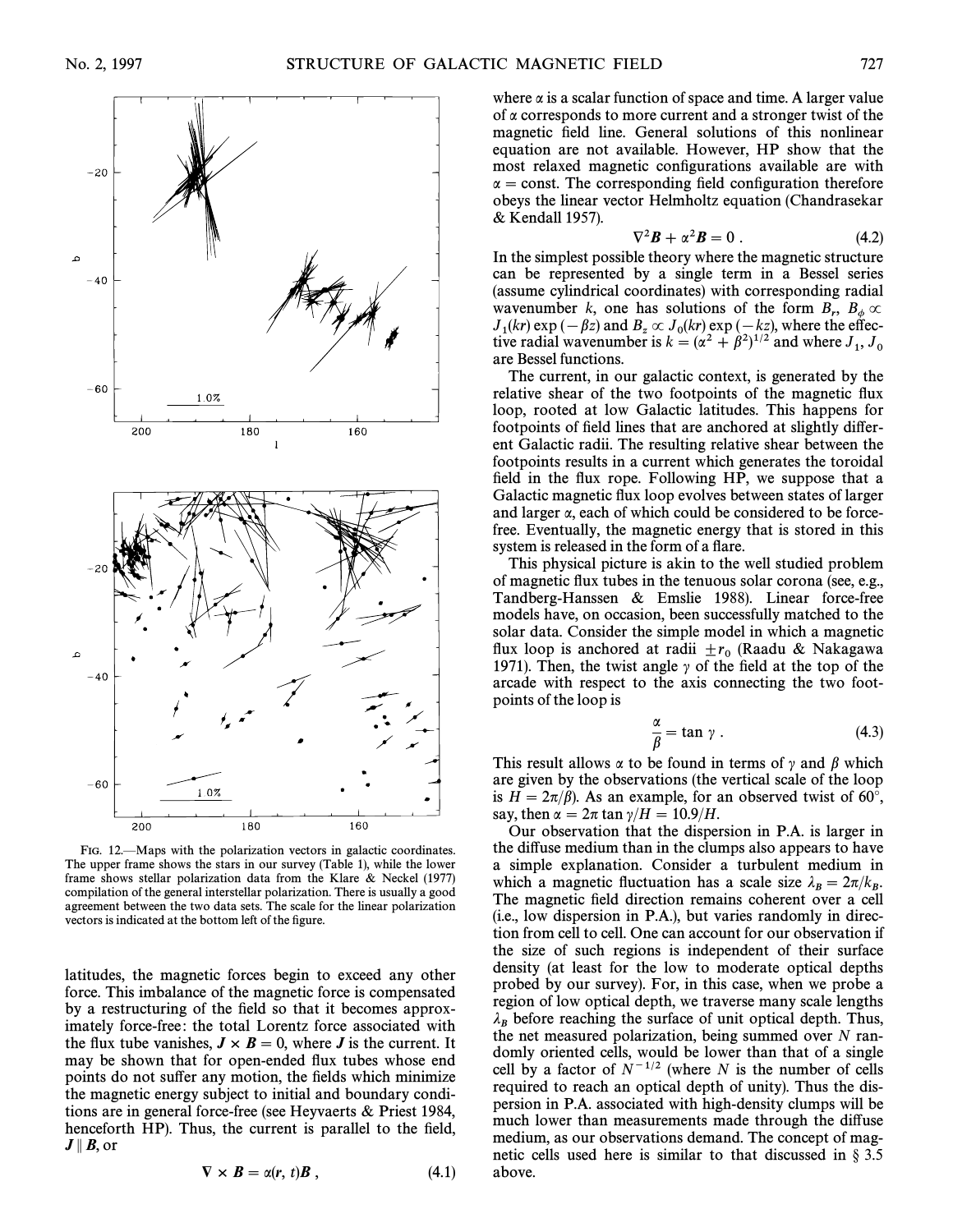

FIG. 12.—Maps with the polarization vectors in galactic coordinates. The upper frame shows the stars in our survey (Table 1), while the lower frame shows stellar polarization data from the Klare  $\&$  Neckel (1977) compilation of the general interstellar polarization. There is usually a good agreement between the two data sets. The scale for the linear polarization vectors is indicated at the bottom left of the figure.

latitudes, the magnetic forces begin to exceed any other force. This imbalance of the magnetic force is compensated by a restructuring of the field so that it becomes approximately force-free: the total Lorentz force associated with the flux tube vanishes,  $J \times B = 0$ , where *J* is the current. It may be shown that for open-ended Ñux tubes whose end points do not suffer any motion, the fields which minimize the magnetic energy subject to initial and boundary conditions are in general force-free (see Heyvaerts  $\&$  Priest 1984, henceforth HP). Thus, the current is parallel to the field,  $J \parallel B$ , or

$$
\nabla \times \boldsymbol{B} = \alpha(\boldsymbol{r}, t) \boldsymbol{B} \,, \tag{4.1}
$$

where  $\alpha$  is a scalar function of space and time. A larger value of  $\alpha$  corresponds to more current and a stronger twist of the magnetic field line. General solutions of this nonlinear equation are not available. However, HP show that the most relaxed magnetic configurations available are with  $\alpha$  = const. The corresponding field configuration therefore obeys the linear vector Helmholtz equation (Chandrasekar & Kendall 1957).

$$
\nabla^2 \boldsymbol{B} + \alpha^2 \boldsymbol{B} = 0 \ . \tag{4.2}
$$

In the simplest possible theory where the magnetic structure can be represented by a single term in a Bessel series (assume cylindrical coordinates) with corresponding radial wavenumber k, one has solutions of the form  $B_r$ ,  $B_\phi \propto I(kr) \exp(-kz)$  and  $B \propto I(kr) \exp(-kz)$  where the effec- $J_1(kr)$  exp  $(-\beta z)$  and  $B_z \propto J_0(kr)$  exp  $(-kz)$ , where the effective radial wavenumber is  $k = (\alpha^2 + \beta^2)^{1/2}$  and where  $J_1, J_0$  are Bessel functions.  $\propto J_0(kr)$ 

The current, in our galactic context, is generated by the relative shear of the two footpoints of the magnetic flux loop, rooted at low Galactic latitudes. This happens for footpoints of field lines that are anchored at slightly different Galactic radii. The resulting relative shear between the footpoints results in a current which generates the toroidal field in the flux rope. Following HP, we suppose that a Galactic magnetic Ñux loop evolves between states of larger and larger  $\alpha$ , each of which could be considered to be forcefree. Eventually, the magnetic energy that is stored in this system is released in the form of a flare.

This physical picture is akin to the well studied problem of magnetic Ñux tubes in the tenuous solar corona (see, e.g., Tandberg-Hanssen  $\&$  Emslie 1988). Linear force-free models have, on occasion, been successfully matched to the solar data. Consider the simple model in which a magnetic flux loop is anchored at radii  $\pm r_0$  (Raadu & Nakagawa 1971). Then the twist angle  $\alpha$  of the field at the top of the 1971). Then, the twist angle  $\gamma$  of the field at the top of the arcade with respect to the axis connecting the two footpoints of the loop is

$$
\frac{\alpha}{\beta} = \tan \gamma \ . \tag{4.3}
$$

This result allows  $\alpha$  to be found in terms of  $\gamma$  and  $\beta$  which are given by the observations (the vertical scale of the loop is  $H = 2\pi/\beta$ ). As an example, for an observed twist of 60°, say, then  $\alpha = 2\pi \tan \gamma/H = 10.9/H$ .

Our observation that the dispersion in P.A. is larger in the diffuse medium than in the clumps also appears to have a simple explanation. Consider a turbulent medium in which a magnetic fluctuation has a scale size  $\lambda_B = 2\pi/k_B$ .<br>The magnetic field direction remains coherent over a cell The magnetic field direction remains coherent over a cell (i.e., low dispersion in P.A.), but varies randomly in direction from cell to cell. One can account for our observation if the size of such regions is independent of their surface density (at least for the low to moderate optical depths probed by our survey). For, in this case, when we probe a region of low optical depth, we traverse many scale lengths  $\lambda_B$  before reaching the surface of unit optical depth. Thus, the net measured polarization, being summed over  $N$  randomly oriented cells, would be lower than that of a single cell by a factor of  $N^{-1/2}$  (where N is the number of cells required to reach an optical depth of unity). Thus the dispersion in P.A. associated with high-density clumps will be much lower than measurements made through the diffuse medium, as our observations demand. The concept of magnetic cells used here is similar to that discussed in  $\S 3.5$ above.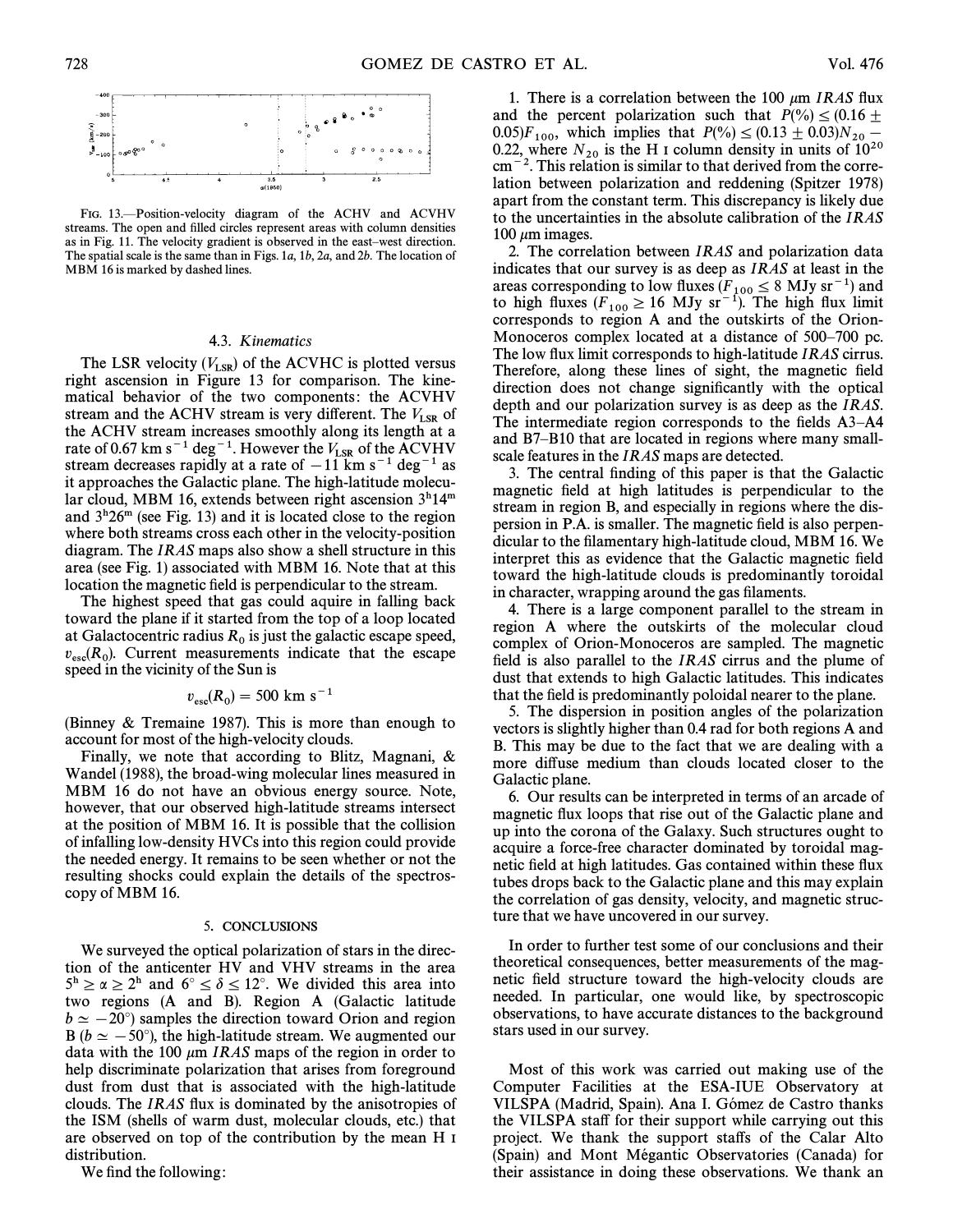

FIG. 13.-Position-velocity diagram of the ACHV and ACVHV streams. The open and filled circles represent areas with column densities as in Fig. 11. The velocity gradient is observed in the east-west direction. The spatial scale is the same than in Figs. 1a, 1b, 2a, and 2b. The location of MBM 16 is marked by dashed lines.

# 4.3. Kinematics

The LSR velocity  $(V_{LSR})$  of the ACVHC is plotted versus (V<sub>LSR</sub>) of the ACVHC is plotted versus right ascension in Figure 13 for comparison. The kinematical behavior of the two components: the ACVHV stream and the ACHV stream is very different. The  $V_{LSR}$  of the ACHV stream increases smoothly along its length at a rate of 0.67 km s<sup>-1</sup> deg<sup>-1</sup>. However the  $V_{\text{LSR}}$  of the ACVHV stream decreases rapidly at a rate of  $-11$  km s<sup>-1</sup> deg<sup>-1</sup> as it approaches the Galactic plane. The high-latitude molecular cloud, MBM 16, extends between right ascension  $3<sup>h</sup>14<sup>m</sup>$ and  $3<sup>h</sup>26<sup>m</sup>$  (see Fig. 13) and it is located close to the region where both streams cross each other in the velocity-position diagram. The IRAS maps also show a shell structure in this area (see Fig. 1) associated with MBM 16. Note that at this location the magnetic field is perpendicular to the stream.

The highest speed that gas could aquire in falling back toward the plane if it started from the top of a loop located at Galactocentric radius  $R_0$  is just the galactic escape speed,  $v_{\rm esc}(R_0)$ . Current measurements indicate that the escape speed in the vicinity of the Sun is speed in the vicinity of the Sun is

$$
v_{\rm esc}(R_0) = 500 \text{ km s}^{-1}
$$

(Binney  $&$  Tremaine 1987). This is more than enough to account for most of the high-velocity clouds.

Finally, we note that according to Blitz, Magnani,  $\&$ Wandel (1988), the broad-wing molecular lines measured in MBM 16 do not have an obvious energy source. Note, however, that our observed high-latitude streams intersect at the position of MBM 16. It is possible that the collision of infalling low-density HVCs into this region could provide the needed energy. It remains to be seen whether or not the resulting shocks could explain the details of the spectroscopy of MBM 16.

#### 5. CONCLUSIONS

We surveyed the optical polarization of stars in the direction of the anticenter HV and VHV streams in the area  $5^h \ge \alpha \ge 2^h$  and  $6^\circ \le \delta \le 12^\circ$ . We divided this area into two regions (A and B). Region A (Galactic latitude  $b \simeq -20^{\circ}$ ) samples the direction toward Orion and region B ( $b \approx -50^{\circ}$ ), the high-latitude stream. We augmented our data with the 100  $\mu$ m IRAS maps of the region in order to help discriminate polarization that arises from foreground dust from dust that is associated with the high-latitude clouds. The *IRAS* flux is dominated by the anisotropies of the ISM (shells of warm dust, molecular clouds, etc.) that are observed on top of the contribution by the mean H I distribution.

We find the following:

1. There is a correlation between the 100  $\mu$ m *IRAS* flux and the percent polarization such that  $P(\%) \leq (0.16 \pm 1.00)$ 0.05) $F_{100}$ , which implies that  $P(\%) \le (0.13 \pm 0.03)N_{20}$ 0.22, where  $N_{20}$  is the H I column density in units of  $10^{20}$  cm<sup>-2</sup>. This relation is similar to that derived from the correlation between polarization and reddening (Spitzer 1978) apart from the constant term. This discrepancy is likely due to the uncertainties in the absolute calibration of the IRAS 100  $\mu$ m images.

2. The correlation between IRAS and polarization data indicates that our survey is as deep as IRAS at least in the areas corresponding to low fluxes  $(F_{100} \le 8 \text{ MJy sr}^{-1})$  and  $F_{100}$  bigh fluxes  $(F_{100} \le 16 \text{ MJy sr}^{-1})$ . The high flux limit to high fluxes  $(F_{100} \ge 16 \text{ MJy sr}^{-1})$ . The high flux limit corresponds to region A and the outskirts of the Orioncorresponds to region A and the outskirts of the Orion-Monoceros complex located at a distance of 500–700 pc. The low flux limit corresponds to high-latitude *IRAS* cirrus. Therefore, along these lines of sight, the magnetic field direction does not change significantly with the optical depth and our polarization survey is as deep as the *IRAS*. The intermediate region corresponds to the fields  $A3-A4$ and B7–B10 that are located in regions where many smallscale features in the IRAS maps are detected.

3. The central finding of this paper is that the Galactic magnetic field at high latitudes is perpendicular to the stream in region B, and especially in regions where the dispersion in P.A. is smaller. The magnetic field is also perpendicular to the filamentary high-latitude cloud, MBM 16. We interpret this as evidence that the Galactic magnetic field toward the high-latitude clouds is predominantly toroidal in character, wrapping around the gas filaments.

4. There is a large component parallel to the stream in region A where the outskirts of the molecular cloud complex of Orion-Monoceros are sampled. The magnetic field is also parallel to the  $IRAS$  cirrus and the plume of dust that extends to high Galactic latitudes. This indicates that the field is predominantly poloidal nearer to the plane.

5. The dispersion in position angles of the polarization vectors is slightly higher than 0.4 rad for both regions A and B. This may be due to the fact that we are dealing with a more diffuse medium than clouds located closer to the Galactic plane.

6. Our results can be interpreted in terms of an arcade of magnetic flux loops that rise out of the Galactic plane and up into the corona of the Galaxy. Such structures ought to acquire a force-free character dominated by toroidal magnetic field at high latitudes. Gas contained within these flux tubes drops back to the Galactic plane and this may explain the correlation of gas density, velocity, and magnetic structure that we have uncovered in our survey.

In order to further test some of our conclusions and their theoretical consequences, better measurements of the magnetic field structure toward the high-velocity clouds are needed. In particular, one would like, by spectroscopic observations, to have accurate distances to the background stars used in our survey.

Most of this work was carried out making use of the Computer Facilities at the ESA-IUE Observatory at VILSPA (Madrid, Spain). Ana I. Gómez de Castro thanks the VILSPA staff for their support while carrying out this project. We thank the support staffs of the Calar Alto (Spain) and Mont Mégantic Observatories (Canada) for their assistance in doing these observations. We thank an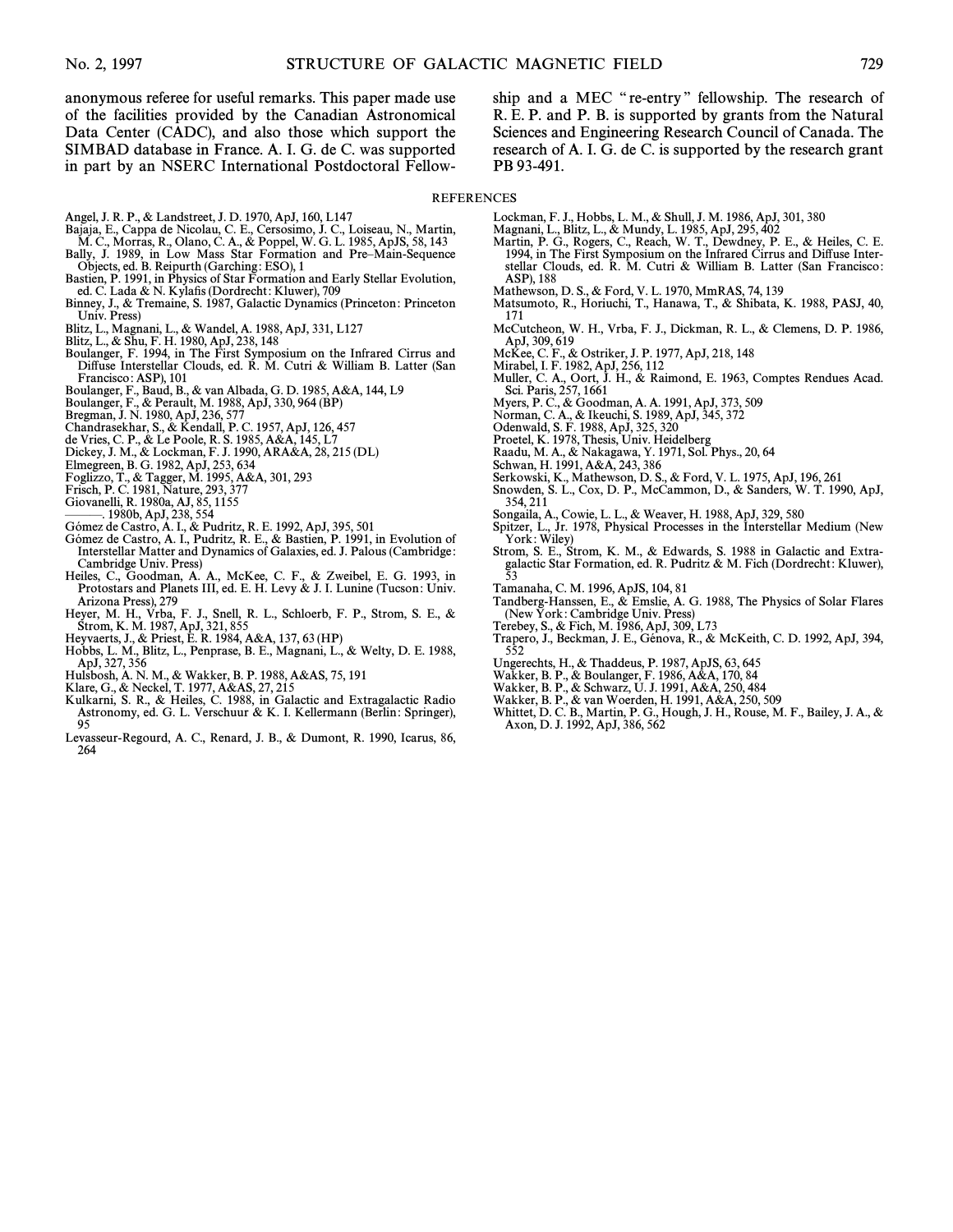anonymous referee for useful remarks. This paper made use of the facilities provided by the Canadian Astronomical Data Center (CADC), and also those which support the SIMBAD database in France. A. I. G. de C. was supported in part by an NSERC International Postdoctoral Fellowship and a MEC "re-entry" fellowship. The research of R. E. P. and P. B. is supported by grants from the Natural Sciences and Engineering Research Council of Canada. The research of A. I. G. de C. is supported by the research grant PB 93-491.

## **REFERENCES**

- 
- Angel, J. R. P., & Landstreet, J. D. 1970, ApJ, 160, L147<br>Bajaja, E., Cappa de Nicolau, C. E., Cersosimo, J. C., Loiseau, N., Martin,<br>M. C., Morras, R., Olano, C. A., & Poppel, W. G. L. 1985, ApJS, 58, 143
- Bally, J. 1989, in Low Mass Star Formation and Pre-Main-Sequence
- Objects, ed. B. Reipurth (Garching: ESO), 1 Bastien, P. 1991, in Physics of Star Formation and Early Stellar Evolution,
- ed. C. Lada & N. Kylafis (Dordrecht: Kluwer), 709 Binney, J., & Tremaine, S. 1987, Galactic Dynamics (Princeton: Princeton
- Univ. Press)
- Blitz, L., Magnani, L., & Wandel, A. 1988, ApJ, 331, L127
- 
- Blitz, L., & Shu, F. H. 1980, ApJ, 238, 148<br>Boulanger, F. 1994, in The First Symposium on the Infrared Cirrus and Diffuse Interstellar Clouds, ed. R. M. Cutri & William B. Latter (San Francisco: ASP), 101
- Boulanger, F., Baud, B., & van Albada, G. D. 1985, A&A, 144, L9
- Boulanger, F., & Perault, M. 1988, ApJ, 330, 964 (BP)<br>Bregman, J. N. 1980, ApJ, 236, 577
- 
- Chandrasekhar, S., & Kendall, P. C. 1957, ApJ, 126, 457
- de Vries, C. P., & Le Poole, R. S. 1985, A&A, 145, L7<br>Dickey, J. M., & Lockman, F. J. 1990, ARA&A, 28, 215 (DL)
- Elmegreen, B. G. 1982, ApJ, 253, 634
- 
- Foglizzo, T., & Tagger, M. 1995, A&A, 301, 293<br>Frisch, P. C. 1981, Nature, 293, 377
- 
- Giovanelli, R. 1980a, AJ, 85, 1155<br>———. 1980b, ApJ, 238, 554
- 
- 
- Gómez de Castro, A. I., & Pudritz, R. E. 1992, ApJ, 395, 501<br>Gómez de Castro, A. I., Pudritz, R. E., & Bastien, P. 1991, in Evolution of<br>Interstellar Matter and Dynamics of Galaxies, ed. J. Palous (Cambridge: Cambridge Univ. Press)
- Heiles, C., Goodman, A. A., McKee, C. F., & Zweibel, E. G. 1993, in Protostars and Planets III, ed. E. H. Levy & J. I. Lunine (Tucson: Univ.
- 
- 
- Arizona Press), 279<br>
Heyer, M. H., Vrba, F. J., Snell, R. L., Schloerb, F. P., Strom, S. E., &<br>
Strom, K. M. 1987, ApJ, 321, 855<br>
Heyvaerts, J., & Priest, E. R. 1984, A&A, 137, 63 (HP)<br>
Hobbs, L. M., Blitz, L., Penprase, B
- Hulsbosh, A. N. M., & Wakker, B. P. 1988, A&AS, 75, 191<br>Klare, G., & Neckel, T. 1977, A&AS, 27, 215
- 
- Kulkarni, S. R., & Heiles, C. 1988, in Galactic and Extragalactic Radio Astronomy, ed. G. L. Verschuur & K. I. Kellermann (Berlin: Springer), 95
- Levasseur-Regourd, A. C., Renard, J. B., & Dumont, R. 1990, Icarus, 86, 264
- Lockman, F. J., Hobbs, L. M., & Shull, J. M. 1986, ApJ, 301, 380 Magnani, L., Blitz, L., & Mundy, L. 1985, ApJ, 295, 402<br>Martin, P. G., Rogers, C., Reach, W. T., Dewdney, P. E., & Heiles, C. E.<br>1994, in The First Symposium on the Infrared Cirrus and Diffuse Interstellar Clouds, ed. R. M. Cutri & William B. Latter (San Francisco:
- ASP), 188 Mathewson, D. S., & Ford, V. L. 1970, MmRAS, 74, 139
- Matsumoto, R., Horiuchi, T., Hanawa, T., & Shibata, K. 1988, PASJ, 40, 171
- McCutcheon, W. H., Vrba, F. J., Dickman, R. L., & Clemens, D. P. 1986, ApJ, 309, 619
- McKee, C. F., & Ostriker, J. P. 1977, ApJ, 218, 148
- 
- Mirabel, I. F. 1982, ApJ, 256, 112<br>Muller, C. A., Oort, J. H., & Raimond, E. 1963, Comptes Rendues Acad.<br>Sci. Paris, 257, 1661
- Myers, P. C., & Goodman, A. A. 1991, ApJ, 373, 509<br>Norman, C. A., & Ikeuchi, S. 1989, ApJ, 345, 372
- 
- Odenwald, S. F. 1988, ApJ, 325, 320
- 
- Proetel, K. 1978, Thesis, Univ. Heidelberg<br>Raadu, M. A., & Nakagawa, Y. 1971, Sol. Phys., 20, 64<br>Schwan, H. 1991, A&A, 243, 386
- 
- Serkowski, K., Mathewson, D. S., & Ford, V. L. 1975, ApJ, 196, 261<br>Snowden, S. L., Cox, D. P., McCammon, D., & Sanders, W. T. 1990, ApJ,
- 354, 211
- Songaila, A., Cowie, L. L., & Weaver, H. 1988, ApJ, 329, 580
- Spitzer, L., Jr. 1978, Physical Processes in the Interstellar Medium (New
- York: Wiley) Strom, S. E., Strom, K. M., & Edwards, S. 1988 in Galactic and Extra-galactic Star Formation, ed. R. Pudritz & M. Fich (Dordrecht: Kluwer), 53
- Tamanaha, C. M. 1996, ApJS, 104, 81
- Tandberg-Hanssen, E., & Emslie, A. G. 1988, The Physics of Solar Flares (New York: Cambridge Univ. Press)
- Terebey, S., & Fich, M. 1986, ApJ, 309, L73
- Trapero, J., Beckman, J. E., Génova, R., & McKeith, C. D. 1992, ApJ, 394, 552
- Ungerechts, H., & Thaddeus, P. 1987, ApJS, 63, 645
- 
- Wakker, B. P., & Boulanger, F. 1986, A&A, 170, 84<br>Wakker, B. P., & Schwarz, U. J. 1991, A&A, 250, 484
- 
- Wakker, B. P., & van Woerden, H. 1991, A&A, 250, 509<br>Whittet, D. C. B., Martin, P. G., Hough, J. H., Rouse, M. F., Bailey, J. A., & Axon, D. J. 1992, ApJ, 386, 562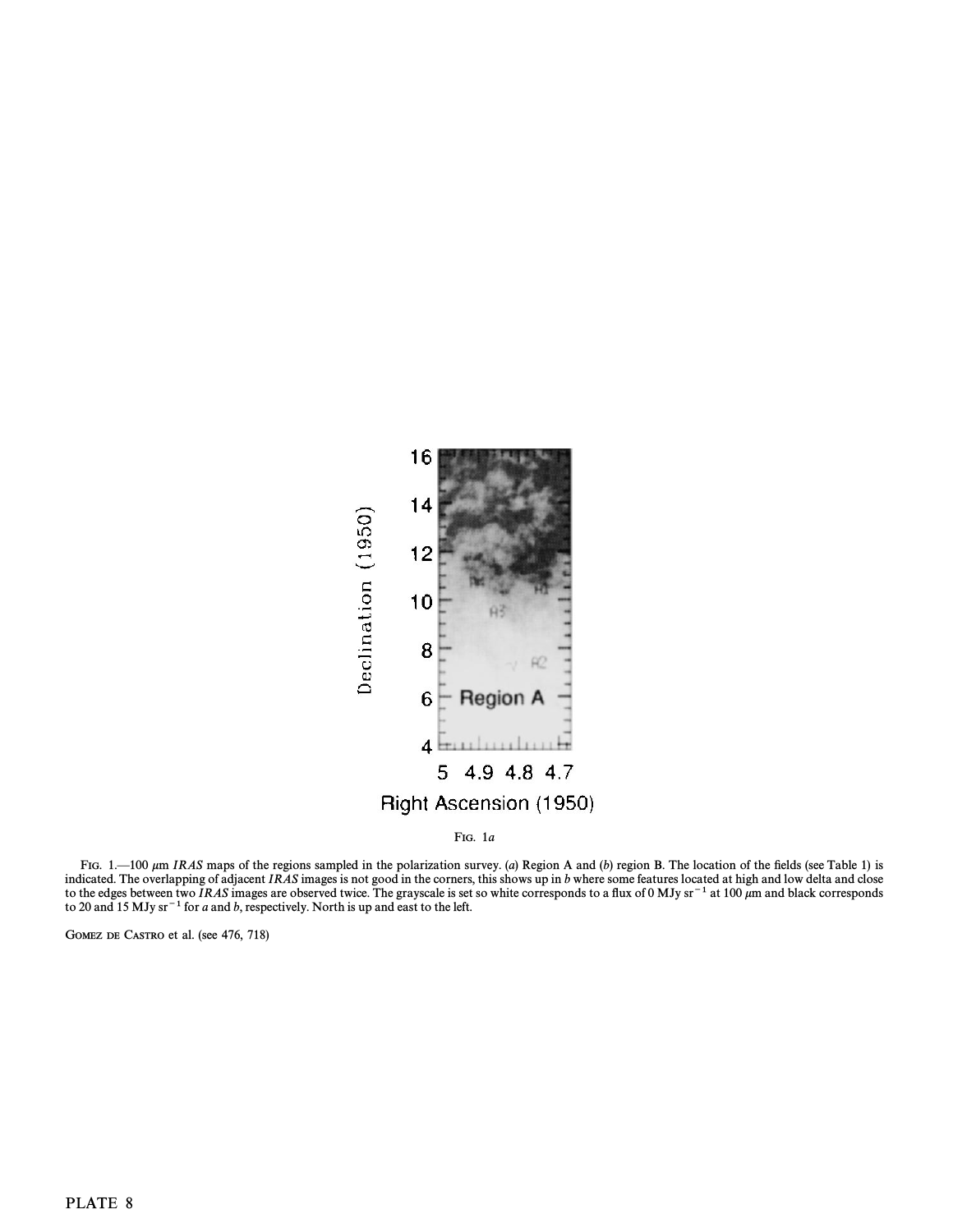

FIG.  $1.-100 \mu m$  IRAS maps of the regions sampled in the polarization survey. (a) Region A and (b) region B. The location of the fields (see Table 1) is indicated. The overlapping of adjacent IRAS images is not good in the corners, this shows up in b where some features located at high and low delta and close to the edges between two IRAS images are observed twice. The grayscale is set so white corresponds to a flux of 0 MJy sr<sup>-1</sup> at 100  $\mu$ m and black corresponds to 20 and 15 MJy sr<sup> $-1$ </sup> for a and b, respectively. North is up and east to the left.

GOMEZ DE CASTRO et al. (see 476, 718)